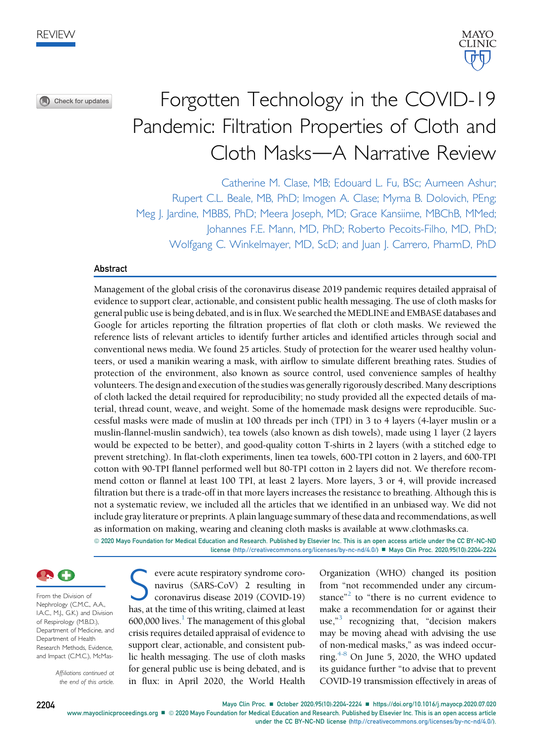Check for updates



# Forgotten Technology in the COVID-19 Pandemic: Filtration Properties of Cloth and Cloth Masks-A Narrative Review

Catherine M. Clase, MB; Edouard L. Fu, BSc; Aurneen Ashur; Rupert C.L. Beale, MB, PhD; Imogen A. Clase; Myrna B. Dolovich, PEng; Meg J. Jardine, MBBS, PhD; Meera Joseph, MD; Grace Kansiime, MBChB, MMed; Johannes F.E. Mann, MD, PhD; Roberto Pecoits-Filho, MD, PhD; Wolfgang C. Winkelmayer, MD, ScD; and Juan J. Carrero, PharmD, PhD

#### Abstract

Management of the global crisis of the coronavirus disease 2019 pandemic requires detailed appraisal of evidence to support clear, actionable, and consistent public health messaging. The use of cloth masks for general public use is being debated, and is in flux. We searched the MEDLINE and EMBASE databases and Google for articles reporting the filtration properties of flat cloth or cloth masks. We reviewed the reference lists of relevant articles to identify further articles and identified articles through social and conventional news media. We found 25 articles. Study of protection for the wearer used healthy volunteers, or used a manikin wearing a mask, with airflow to simulate different breathing rates. Studies of protection of the environment, also known as source control, used convenience samples of healthy volunteers. The design and execution of the studies was generally rigorously described. Many descriptions of cloth lacked the detail required for reproducibility; no study provided all the expected details of material, thread count, weave, and weight. Some of the homemade mask designs were reproducible. Successful masks were made of muslin at 100 threads per inch (TPI) in 3 to 4 layers (4-layer muslin or a muslin-flannel-muslin sandwich), tea towels (also known as dish towels), made using 1 layer (2 layers would be expected to be better), and good-quality cotton T-shirts in 2 layers (with a stitched edge to prevent stretching). In flat-cloth experiments, linen tea towels, 600-TPI cotton in 2 layers, and 600-TPI cotton with 90-TPI flannel performed well but 80-TPI cotton in 2 layers did not. We therefore recommend cotton or flannel at least 100 TPI, at least 2 layers. More layers, 3 or 4, will provide increased filtration but there is a trade-off in that more layers increases the resistance to breathing. Although this is not a systematic review, we included all the articles that we identified in an unbiased way. We did not include gray literature or preprints. A plain language summary of these data and recommendations, as well as information on making, wearing and cleaning cloth masks is available at www.clothmasks.ca.

ª 2020 Mayo Foundation for Medical Education and Research. Published by Elsevier Inc. This is an open access article under the CC BY-NC-ND license ([http://creativecommons.org/licenses/by-nc-nd/4.0/\)](http://creativecommons.org/licenses/by-nc-nd/4.0/) Mayo Clin Proc. 2020;95(10):2204-2224



From the Division of Nephrology (C.M.C., A.A., I.A.C., M.J., G.K.) and Division of Respirology (M.B.D.), Department of Medicine, and Department of Health Research Methods, Evidence, and Impact (C.M.C.), McMas-

> Affiliations continued at the end of this article.

Severe acute respiratory syndrome coro-<br>navirus (SARS-CoV) 2 resulting in<br>coronavirus disease 2019 (COVID-19)<br>has at the time of this writing, claimed at least navirus (SARS-CoV) 2 resulting in coronavirus disease 2019 (COVID-19) has, at the time of this writing, claimed at least  $600,000$  lives.<sup>[1](#page-19-0)</sup> The management of this global crisis requires detailed appraisal of evidence to support clear, actionable, and consistent public health messaging. The use of cloth masks for general public use is being debated, and is in flux: in April 2020, the World Health

Organization (WHO) changed its position from "not recommended under any circum-stance"<sup>[2](#page-19-1)</sup> to "there is no current evidence to make a recommendation for or against their use,"<sup>[3](#page-19-2)</sup> recognizing that, "decision makers may be moving ahead with advising the use of non-medical masks," as was indeed occurring. $4-8$  On June 5, 2020, the WHO updated its guidance further "to advise that to prevent COVID-19 transmission effectively in areas of

2204 Mayo Clin Proc. ■ October 2020;95(10):2204-2224 ■ <https://doi.org/10.1016/j.mayocp.2020.07.020> [www.mayoclinicproceedings.org](http://www.mayoclinicproceedings.org)  $\blacksquare$  © 2020 Mayo Foundation for Medical Education and Research. Published by Elsevier Inc. This is an open access article under the CC BY-NC-ND license ([http://creativecommons.org/licenses/by-nc-nd/4.0/\)](http://creativecommons.org/licenses/by-nc-nd/4.0/).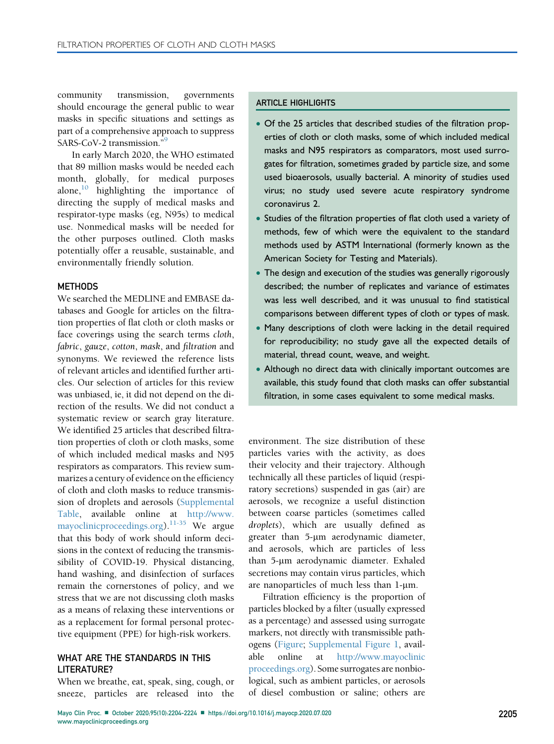community transmission, governments should encourage the general public to wear masks in specific situations and settings as part of a comprehensive approach to suppress SARS-CoV-2 transmission."<sup>[9](#page-19-4)</sup>

In early March 2020, the WHO estimated that 89 million masks would be needed each month, globally, for medical purposes alone, $\frac{10}{10}$  $\frac{10}{10}$  $\frac{10}{10}$  highlighting the importance of directing the supply of medical masks and respirator-type masks (eg, N95s) to medical use. Nonmedical masks will be needed for the other purposes outlined. Cloth masks potentially offer a reusable, sustainable, and environmentally friendly solution.

#### **METHODS**

We searched the MEDLINE and EMBASE databases and Google for articles on the filtration properties of flat cloth or cloth masks or face coverings using the search terms cloth, fabric, gauze, cotton, mask, and filtration and synonyms. We reviewed the reference lists of relevant articles and identified further articles. Our selection of articles for this review was unbiased, ie, it did not depend on the direction of the results. We did not conduct a systematic review or search gray literature. We identified 25 articles that described filtration properties of cloth or cloth masks, some of which included medical masks and N95 respirators as comparators. This review summarizes a century of evidence on the efficiency of cloth and cloth masks to reduce transmission of droplets and aerosols (Supplemental Table, available online at [http://www.](http://www.mayoclinicproceedings.org) [mayoclinicproceedings.org\)](http://www.mayoclinicproceedings.org).[11-35](#page-19-6) We argue that this body of work should inform decisions in the context of reducing the transmissibility of COVID-19. Physical distancing, hand washing, and disinfection of surfaces remain the cornerstones of policy, and we stress that we are not discussing cloth masks as a means of relaxing these interventions or as a replacement for formal personal protective equipment (PPE) for high-risk workers.

#### WHAT ARE THE STANDARDS IN THIS LITERATURE?

When we breathe, eat, speak, sing, cough, or sneeze, particles are released into the

#### ARTICLE HIGHLIGHTS

- Of the 25 articles that described studies of the filtration properties of cloth or cloth masks, some of which included medical masks and N95 respirators as comparators, most used surrogates for filtration, sometimes graded by particle size, and some used bioaerosols, usually bacterial. A minority of studies used virus; no study used severe acute respiratory syndrome coronavirus 2.
- Studies of the filtration properties of flat cloth used a variety of methods, few of which were the equivalent to the standard methods used by ASTM International (formerly known as the American Society for Testing and Materials).
- The design and execution of the studies was generally rigorously described; the number of replicates and variance of estimates was less well described, and it was unusual to find statistical comparisons between different types of cloth or types of mask.
- Many descriptions of cloth were lacking in the detail required for reproducibility; no study gave all the expected details of material, thread count, weave, and weight.
- Although no direct data with clinically important outcomes are available, this study found that cloth masks can offer substantial filtration, in some cases equivalent to some medical masks.

environment. The size distribution of these particles varies with the activity, as does their velocity and their trajectory. Although technically all these particles of liquid (respiratory secretions) suspended in gas (air) are aerosols, we recognize a useful distinction between coarse particles (sometimes called droplets), which are usually defined as greater than 5-um aerodynamic diameter, and aerosols, which are particles of less than 5-um aerodynamic diameter. Exhaled secretions may contain virus particles, which are nanoparticles of much less than 1-µm.

Filtration efficiency is the proportion of particles blocked by a filter (usually expressed as a percentage) and assessed using surrogate markers, not directly with transmissible pathogens [\(Figure](#page-2-0); Supplemental Figure 1, available online at [http://www.mayoclinic](http://www.mayoclinicproceedings.org) [proceedings.org](http://www.mayoclinicproceedings.org)). Some surrogates are nonbiological, such as ambient particles, or aerosols of diesel combustion or saline; others are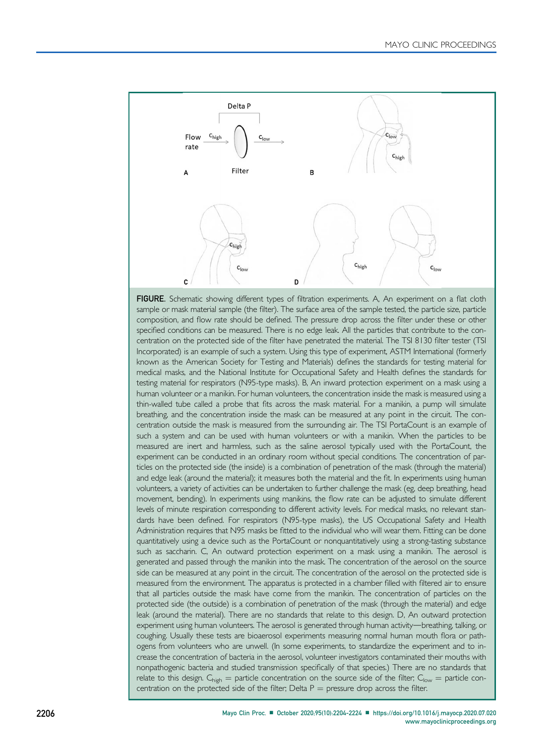<span id="page-2-0"></span>

FIGURE. Schematic showing different types of filtration experiments. A, An experiment on a flat cloth sample or mask material sample (the filter). The surface area of the sample tested, the particle size, particle composition, and flow rate should be defined. The pressure drop across the filter under these or other specified conditions can be measured. There is no edge leak. All the particles that contribute to the concentration on the protected side of the filter have penetrated the material. The TSI 8130 filter tester (TSI Incorporated) is an example of such a system. Using this type of experiment, ASTM International (formerly known as the American Society for Testing and Materials) defines the standards for testing material for medical masks, and the National Institute for Occupational Safety and Health defines the standards for testing material for respirators (N95-type masks). B, An inward protection experiment on a mask using a human volunteer or a manikin. For human volunteers, the concentration inside the mask is measured using a thin-walled tube called a probe that fits across the mask material. For a manikin, a pump will simulate breathing, and the concentration inside the mask can be measured at any point in the circuit. The concentration outside the mask is measured from the surrounding air. The TSI PortaCount is an example of such a system and can be used with human volunteers or with a manikin. When the particles to be measured are inert and harmless, such as the saline aerosol typically used with the PortaCount, the experiment can be conducted in an ordinary room without special conditions. The concentration of particles on the protected side (the inside) is a combination of penetration of the mask (through the material) and edge leak (around the material); it measures both the material and the fit. In experiments using human volunteers, a variety of activities can be undertaken to further challenge the mask (eg, deep breathing, head movement, bending). In experiments using manikins, the flow rate can be adjusted to simulate different levels of minute respiration corresponding to different activity levels. For medical masks, no relevant standards have been defined. For respirators (N95-type masks), the US Occupational Safety and Health Administration requires that N95 masks be fitted to the individual who will wear them. Fitting can be done quantitatively using a device such as the PortaCount or nonquantitatively using a strong-tasting substance such as saccharin. C, An outward protection experiment on a mask using a manikin. The aerosol is generated and passed through the manikin into the mask. The concentration of the aerosol on the source side can be measured at any point in the circuit. The concentration of the aerosol on the protected side is measured from the environment. The apparatus is protected in a chamber filled with filtered air to ensure that all particles outside the mask have come from the manikin. The concentration of particles on the protected side (the outside) is a combination of penetration of the mask (through the material) and edge leak (around the material). There are no standards that relate to this design. D, An outward protection experiment using human volunteers. The aerosol is generated through human activity—breathing, talking, or coughing. Usually these tests are bioaerosol experiments measuring normal human mouth flora or pathogens from volunteers who are unwell. (In some experiments, to standardize the experiment and to increase the concentration of bacteria in the aerosol, volunteer investigators contaminated their mouths with nonpathogenic bacteria and studied transmission specifically of that species.) There are no standards that relate to this design.  $C_{\text{high}}$  = particle concentration on the source side of the filter;  $C_{\text{low}}$  = particle concentration on the protected side of the filter; Delta  $P =$  pressure drop across the filter.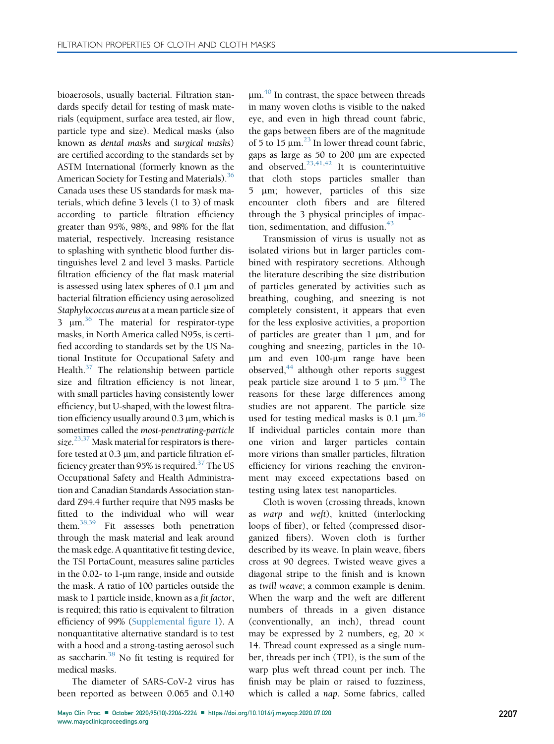bioaerosols, usually bacterial. Filtration standards specify detail for testing of mask materials (equipment, surface area tested, air flow, particle type and size). Medical masks (also known as dental masks and surgical masks) are certified according to the standards set by ASTM International (formerly known as the American Society for Testing and Materials).<sup>36</sup> Canada uses these US standards for mask materials, which define 3 levels (1 to 3) of mask according to particle filtration efficiency greater than 95%, 98%, and 98% for the flat material, respectively. Increasing resistance to splashing with synthetic blood further distinguishes level 2 and level 3 masks. Particle filtration efficiency of the flat mask material is assessed using latex spheres of  $0.1 \mu m$  and bacterial filtration efficiency using aerosolized Staphylococcus aureus at a mean particle size of 3  $\mu$ m.<sup>36</sup> The material for respirator-type masks, in North America called N95s, is certified according to standards set by the US National Institute for Occupational Safety and Health. $37$  The relationship between particle size and filtration efficiency is not linear, with small particles having consistently lower efficiency, but U-shaped, with the lowest filtration efficiency usually around  $0.3 \mu m$ , which is sometimes called the most-penetrating-particle size.<sup>[23](#page-19-9)[,37](#page-19-8)</sup> Mask material for respirators is therefore tested at  $0.3 \mu m$ , and particle filtration efficiency greater than 95% is required.<sup>37</sup> The US Occupational Safety and Health Administration and Canadian Standards Association standard Z94.4 further require that N95 masks be fitted to the individual who will wear them.[38](#page-19-10)[,39](#page-20-0) Fit assesses both penetration through the mask material and leak around the mask edge. A quantitative fit testing device, the TSI PortaCount, measures saline particles in the 0.02- to  $1$ -µm range, inside and outside the mask. A ratio of 100 particles outside the mask to 1 particle inside, known as a fit factor, is required; this ratio is equivalent to filtration efficiency of 99% (Supplemental figure 1). A nonquantitative alternative standard is to test with a hood and a strong-tasting aerosol such as saccharin.<sup>38</sup> No fit testing is required for medical masks.

The diameter of SARS-CoV-2 virus has been reported as between 0.065 and 0.140

 $\mu$ m.<sup>[40](#page-20-1)</sup> In contrast, the space between threads in many woven cloths is visible to the naked eye, and even in high thread count fabric, the gaps between fibers are of the magnitude of 5 to 15  $\mu$ m.<sup>[23](#page-19-9)</sup> In lower thread count fabric, gaps as large as 50 to 200 µm are expected and observed.<sup>[23](#page-19-9)[,41,](#page-20-2)[42](#page-20-3)</sup> It is counterintuitive that cloth stops particles smaller than 5 µm; however, particles of this size encounter cloth fibers and are filtered through the 3 physical principles of impaction, sedimentation, and diffusion. $43$ 

Transmission of virus is usually not as isolated virions but in larger particles combined with respiratory secretions. Although the literature describing the size distribution of particles generated by activities such as breathing, coughing, and sneezing is not completely consistent, it appears that even for the less explosive activities, a proportion of particles are greater than  $1 \mu m$ , and for coughing and sneezing, particles in the 10 µm and even 100-µm range have been observed, $44$  although other reports suggest peak particle size around 1 to 5  $\mu$ m.<sup>[45](#page-20-6)</sup> The reasons for these large differences among studies are not apparent. The particle size used for testing medical masks is 0.1  $\mu$ m.<sup>[36](#page-19-7)</sup> If individual particles contain more than one virion and larger particles contain more virions than smaller particles, filtration efficiency for virions reaching the environment may exceed expectations based on testing using latex test nanoparticles.

Cloth is woven (crossing threads, known as warp and weft), knitted (interlocking loops of fiber), or felted (compressed disorganized fibers). Woven cloth is further described by its weave. In plain weave, fibers cross at 90 degrees. Twisted weave gives a diagonal stripe to the finish and is known as twill weave; a common example is denim. When the warp and the weft are different numbers of threads in a given distance (conventionally, an inch), thread count may be expressed by 2 numbers, eg, 20  $\times$ 14. Thread count expressed as a single number, threads per inch (TPI), is the sum of the warp plus weft thread count per inch. The finish may be plain or raised to fuzziness, which is called a nap. Some fabrics, called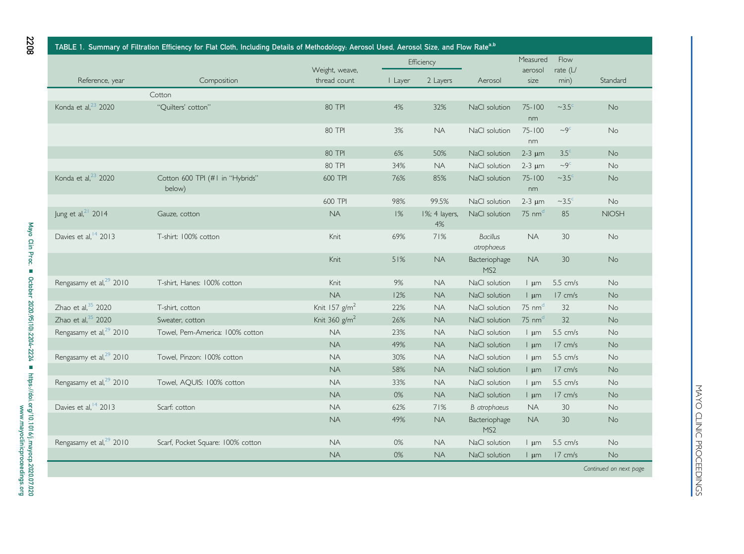|                                     | TABLE 1. Summary of Filtration Efficiency for Flat Cloth, Including Details of Methodology: Aerosol Used, Aerosol Size, and Flow Rate <sup>a,b</sup> |                                |            |                     |                                  |                         |                          |                        |
|-------------------------------------|------------------------------------------------------------------------------------------------------------------------------------------------------|--------------------------------|------------|---------------------|----------------------------------|-------------------------|--------------------------|------------------------|
|                                     |                                                                                                                                                      |                                | Efficiency |                     |                                  | Measured                | Flow                     |                        |
| Reference, year                     | Composition                                                                                                                                          | Weight, weave,<br>thread count | I Layer    | 2 Layers            | Aerosol                          | aerosol<br>size         | rate $(L)$<br>min)       | Standard               |
|                                     | Cotton                                                                                                                                               |                                |            |                     |                                  |                         |                          |                        |
| Konda et al, $23$ 2020              | "Quilters' cotton"                                                                                                                                   | 80 TPI                         | 4%         | 32%                 | NaCl solution                    | $75 - 100$<br>nm        | $\sim$ 3.5 $\textdegree$ | No                     |
|                                     |                                                                                                                                                      | 80 TPI                         | 3%         | <b>NA</b>           | NaCl solution                    | $75 - 100$<br>nm        | $-9c$                    | <b>No</b>              |
|                                     |                                                                                                                                                      | <b>80 TPI</b>                  | 6%         | 50%                 | NaCl solution                    | $2-3 \mu m$             | $3.5^\circ$              | <b>No</b>              |
|                                     |                                                                                                                                                      | 80 TPI                         | 34%        | <b>NA</b>           | NaCl solution                    | $2-3 \mu m$             | $\sim9^{\circ}$          | No                     |
| Konda et al, $23$ 2020              | Cotton 600 TPI (#1 in "Hybrids"<br>below)                                                                                                            | 600 TPI                        | 76%        | 85%                 | NaCl solution                    | $75 - 100$<br>nm        | $\sim$ 3.5 $\degree$     | No                     |
|                                     |                                                                                                                                                      | 600 TPI                        | 98%        | 99.5%               | NaCl solution                    | $2-3 \mu m$             | $\sim$ 3.5 $\textdegree$ | No                     |
| Jung et al, <sup>21</sup> 2014      | Gauze, cotton                                                                                                                                        | <b>NA</b>                      | 1%         | 1%; 4 layers,<br>4% | NaCl solution                    | $75 \text{ nm}^d$       | 85                       | <b>NIOSH</b>           |
| Davies et al, <sup>14</sup> 2013    | T-shirt: 100% cotton                                                                                                                                 | Knit                           | 69%        | 71%                 | <b>Bacillus</b><br>atrophaeus    | <b>NA</b>               | 30                       | <b>No</b>              |
|                                     |                                                                                                                                                      | Knit                           | 51%        | NA.                 | Bacteriophage<br>MS <sub>2</sub> | <b>NA</b>               | 30                       | No                     |
| Rengasamy et al, <sup>29</sup> 2010 | T-shirt, Hanes: 100% cotton                                                                                                                          | Knit                           | 9%         | <b>NA</b>           | NaCl solution                    | $\frac{1}{2}$ um        | $5.5$ cm/s               | <b>No</b>              |
|                                     |                                                                                                                                                      | <b>NA</b>                      | 12%        | <b>NA</b>           | NaCl solution                    | $\mathsf{l}$ um         | 17 cm/s                  | <b>No</b>              |
| Zhao et al, 35 2020                 | T-shirt, cotton                                                                                                                                      | Knit 157 $g/m2$                | 22%        | <b>NA</b>           | NaCl solution                    | $75 \text{ nm}^d$       | 32                       | No                     |
| Zhao et al, $35$ 2020               | Sweater, cotton                                                                                                                                      | Knit 360 $g/m2$                | 26%        | <b>NA</b>           | NaCl solution                    | $75 \text{ nm}^d$       | 32                       | No                     |
| Rengasamy et al, <sup>29</sup> 2010 | Towel, Pem-America: 100% cotton                                                                                                                      | <b>NA</b>                      | 23%        | <b>NA</b>           | NaCl solution                    | $\frac{1}{2}$ um        | 5.5 cm/s                 | <b>No</b>              |
|                                     |                                                                                                                                                      | <b>NA</b>                      | 49%        | <b>NA</b>           | NaCl solution                    | $\frac{1}{2}$ um        | 17 cm/s                  | <b>No</b>              |
| Rengasamy et al, <sup>29</sup> 2010 | Towel, Pinzon: 100% cotton                                                                                                                           | <b>NA</b>                      | 30%        | <b>NA</b>           | NaCl solution                    | $\lfloor \mu m \rfloor$ | 5.5 cm/s                 | No                     |
|                                     |                                                                                                                                                      | <b>NA</b>                      | 58%        | <b>NA</b>           | NaCl solution                    | $\frac{1}{2}$ um        | 17 cm/s                  | No                     |
| Rengasamy et al, <sup>29</sup> 2010 | Towel, AQUIS: 100% cotton                                                                                                                            | <b>NA</b>                      | 33%        | <b>NA</b>           | NaCl solution                    | $\frac{1}{2}$ um        | $5.5$ cm/s               | No                     |
|                                     |                                                                                                                                                      | <b>NA</b>                      | 0%         | <b>NA</b>           | NaCl solution                    | $\lfloor \mu m \rfloor$ | 17 cm/s                  | No                     |
| Davies et al, <sup>14</sup> 2013    | Scarf: cotton                                                                                                                                        | <b>NA</b>                      | 62%        | 71%                 | <b>B</b> atrophaeus              | <b>NA</b>               | 30                       | <b>No</b>              |
|                                     |                                                                                                                                                      | <b>NA</b>                      | 49%        | <b>NA</b>           | Bacteriophage<br>MS <sub>2</sub> | <b>NA</b>               | 30                       | No                     |
| Rengasamy et al, <sup>29</sup> 2010 | Scarf, Pocket Square: 100% cotton                                                                                                                    | <b>NA</b>                      | 0%         | <b>NA</b>           | NaCl solution                    | $\frac{1}{2}$ um        | 5.5 cm/s                 | No                     |
|                                     |                                                                                                                                                      | <b>NA</b>                      | 0%         | <b>NA</b>           | NaCl solution                    | $\frac{1}{2}$ um        | $17 \text{ cm/s}$        | <b>No</b>              |
|                                     |                                                                                                                                                      |                                |            |                     |                                  |                         |                          | Continued on next page |

<span id="page-4-0"></span>2208

MAYO CLINIC PROCEEDINGS MAYO CLINIC PROCEEDINGS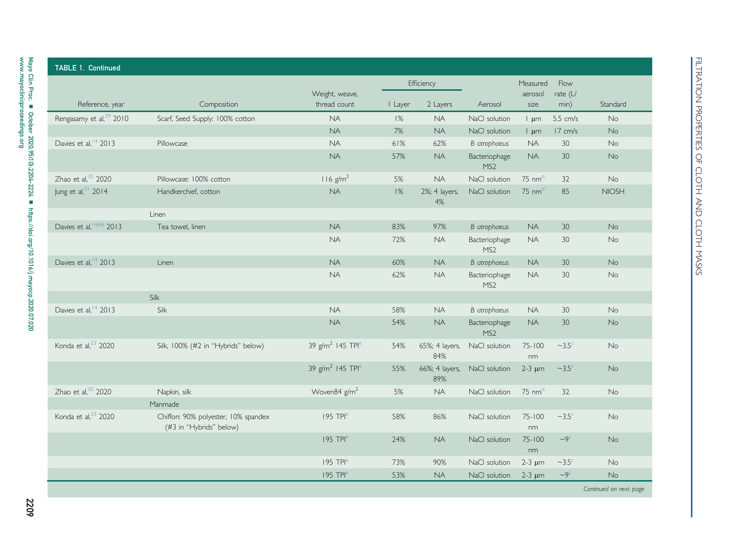| <b>TABLE 1. Continued</b>           |                                                                |                                          |         |                       |                                  |                   |                          |                        |
|-------------------------------------|----------------------------------------------------------------|------------------------------------------|---------|-----------------------|----------------------------------|-------------------|--------------------------|------------------------|
|                                     |                                                                |                                          |         | Efficiency            |                                  | Measured          | Flow                     |                        |
| Reference, year                     | Composition                                                    | Weight, weave,<br>thread count           | I Layer | 2 Layers              | Aerosol                          | aerosol<br>size   | rate $(L)$<br>min)       | Standard               |
| Rengasamy et al, <sup>29</sup> 2010 | Scarf, Seed Supply: 100% cotton                                | <b>NA</b>                                | 1%      | <b>NA</b>             | NaCl solution                    | $\frac{1}{2}$ um  | 5.5 cm/s                 | <b>No</b>              |
|                                     |                                                                | <b>NA</b>                                | 7%      | <b>NA</b>             | NaCl solution                    | $\frac{1}{2}$ um  | 17 cm/s                  | <b>No</b>              |
| Davies et al, <sup>14</sup> 2013    | Pillowcase                                                     | <b>NA</b>                                | 61%     | 62%                   | <b>B</b> atrophaeus              | <b>NA</b>         | 30                       | No                     |
|                                     |                                                                | <b>NA</b>                                | 57%     | <b>NA</b>             | Bacteriophage<br>MS <sub>2</sub> | <b>NA</b>         | 30                       | No                     |
| Zhao et al, 35 2020                 | Pillowcase: 100% cotton                                        | $116$ g/m <sup>2</sup>                   | 5%      | <b>NA</b>             | NaCl solution                    | $75 \text{ nm}^d$ | 32                       | <b>No</b>              |
| Jung et al, <sup>21</sup> 2014      | Handkerchief, cotton                                           | NA                                       | 1%      | 2%; 4 layers,<br>4%   | NaCl solution                    | $75 \text{ nm}^d$ | 85                       | <b>NIOSH</b>           |
|                                     | Linen                                                          |                                          |         |                       |                                  |                   |                          |                        |
| Davies et al, 14,46 2013            | Tea towel, linen                                               | <b>NA</b>                                | 83%     | 97%                   | <b>B</b> atrophaeus              | <b>NA</b>         | 30                       | <b>No</b>              |
|                                     |                                                                | <b>NA</b>                                | 72%     | <b>NA</b>             | Bacteriophage<br>MS <sub>2</sub> | <b>NA</b>         | 30                       | <b>No</b>              |
| Davies et al, <sup>14</sup> 2013    | Linen                                                          | <b>NA</b>                                | 60%     | <b>NA</b>             | <b>B</b> atrophaeus              | <b>NA</b>         | 30                       | No                     |
|                                     |                                                                | <b>NA</b>                                | 62%     | <b>NA</b>             | Bacteriophage<br>MS <sub>2</sub> | <b>NA</b>         | 30                       | No                     |
|                                     | Silk                                                           |                                          |         |                       |                                  |                   |                          |                        |
| Davies et al, <sup>14</sup> 2013    | Silk                                                           | <b>NA</b>                                | 58%     | <b>NA</b>             | <b>B</b> atrophaeus              | <b>NA</b>         | 30                       | <b>No</b>              |
|                                     |                                                                | <b>NA</b>                                | 54%     | <b>NA</b>             | Bacteriophage<br>MS <sub>2</sub> | <b>NA</b>         | 30                       | <b>No</b>              |
| Konda et al, <sup>23</sup> 2020     | Silk, 100% (#2 in "Hybrids" below)                             | 39 g/m <sup>2</sup> 145 TPI <sup>e</sup> | 54%     | 65%; 4 layers,<br>84% | NaCl solution                    | $75 - 100$<br>nm  | $\sim$ 3.5 $\textdegree$ | <b>No</b>              |
|                                     |                                                                | 39 g/m <sup>2</sup> 145 TPI <sup>e</sup> | 55%     | 66%; 4 layers,<br>89% | NaCl solution                    | $2-3 \mu m$       | $\sim$ 3.5 $\degree$     | <b>No</b>              |
| Zhao et al, 35 2020                 | Napkin, silk                                                   | Woven84 g/m <sup>2</sup>                 | 5%      | <b>NA</b>             | NaCl solution                    | $75 \text{ nm}^d$ | 32                       | <b>No</b>              |
|                                     | Manmade                                                        |                                          |         |                       |                                  |                   |                          |                        |
| Konda et al, <sup>23</sup> 2020     | Chiffon: 90% polyester, 10% spandex<br>(#3 in "Hybrids" below) | $195$ TPI <sup>e</sup>                   | 58%     | 86%                   | NaCl solution                    | $75 - 100$<br>nm  | $\sim$ 3.5 $\textdegree$ | <b>No</b>              |
|                                     |                                                                | $195$ TPI <sup>e</sup>                   | 24%     | <b>NA</b>             | NaCl solution                    | $75 - 100$<br>nm  | $-9c$                    | No                     |
|                                     |                                                                | 195 TPI <sup>e</sup>                     | 73%     | 90%                   | NaCl solution                    | $2-3 \mu m$       | $\sim$ 3.5 $\textdegree$ | <b>No</b>              |
|                                     |                                                                | $195$ TPI <sup>e</sup>                   | 53%     | <b>NA</b>             | NaCl solution                    | $2-3 \mu m$       | $-9c$                    | No                     |
|                                     |                                                                |                                          |         |                       |                                  |                   |                          | Continued on next page |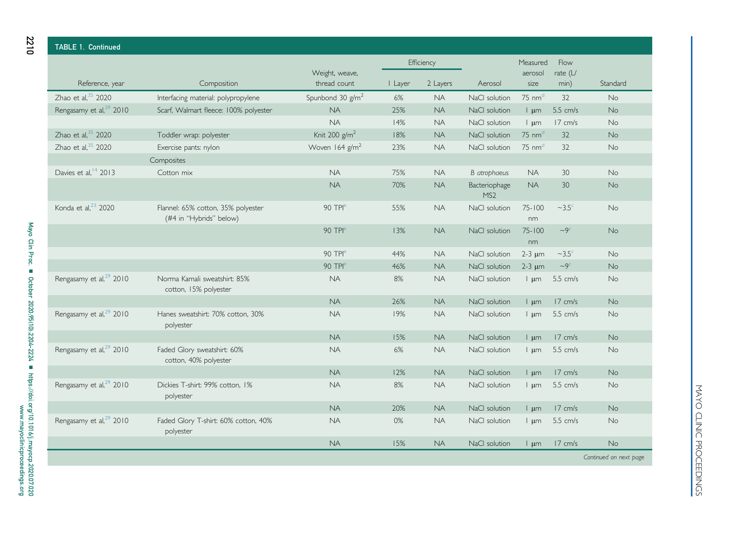| <b>TABLE 1. Continued</b>           |                                                               |                                |            |                        |                                  |                                       |                          |                        |
|-------------------------------------|---------------------------------------------------------------|--------------------------------|------------|------------------------|----------------------------------|---------------------------------------|--------------------------|------------------------|
|                                     |                                                               |                                |            | Efficiency             |                                  | Measured                              | Flow                     |                        |
| Reference, year                     | Composition                                                   | Weight, weave,<br>thread count | I Layer    | 2 Layers               | Aerosol                          | aerosol<br>size                       | rate $(L)$<br>min)       | Standard               |
|                                     |                                                               |                                |            |                        |                                  |                                       |                          |                        |
| $Z$ hao et al. $35$ 2020            | Interfacing material: polypropylene                           | Spunbond 30 $g/m^2$            | 6%         | <b>NA</b>              | NaCl solution                    | $75 \text{ nm}^d$                     | 32                       | No                     |
| Rengasamy et al, <sup>29</sup> 2010 | Scarf, Walmart fleece: 100% polyester                         | <b>NA</b><br>NA                | 25%        | <b>NA</b>              | NaCl solution                    | $\frac{1}{2}$ um                      | 5.5 cm/s                 | <b>No</b>              |
| Zhao et al, $35$ 2020               | Toddler wrap: polyester                                       | Knit 200 g/m <sup>2</sup>      | 14%<br>18% | <b>NA</b><br><b>NA</b> | NaCl solution<br>NaCl solution   | $\frac{1}{2}$ um<br>$75 \text{ nm}^d$ | 17 cm/s<br>32            | <b>No</b><br><b>No</b> |
| Zhao et al, $35$ 2020               |                                                               | Woven 164 g/m <sup>2</sup>     | 23%        | <b>NA</b>              | NaCl solution                    | $75 \text{ nm}^d$                     | 32                       | No                     |
|                                     | Exercise pants: nylon<br>Composites                           |                                |            |                        |                                  |                                       |                          |                        |
| Davies et al, <sup>14</sup> 2013    | Cotton mix                                                    | <b>NA</b>                      | 75%        | <b>NA</b>              | <b>B</b> atrophaeus              | <b>NA</b>                             | 30                       | No                     |
|                                     |                                                               | <b>NA</b>                      | 70%        | <b>NA</b>              | Bacteriophage                    | <b>NA</b>                             | 30                       | <b>No</b>              |
| Konda et al, <sup>23</sup> 2020     | Flannel: 65% cotton, 35% polyester<br>(#4 in "Hybrids" below) | 90 TPI <sup>e</sup>            | 55%        | <b>NA</b>              | MS <sub>2</sub><br>NaCl solution | $75 - 100$<br>nm                      | $\sim$ 3.5 $\textdegree$ | No                     |
|                                     |                                                               | 90 TPI <sup>e</sup>            | 13%        | <b>NA</b>              | NaCl solution                    | $75 - 100$<br>nm                      | $-9c$                    | <b>No</b>              |
|                                     |                                                               | 90 TPI <sup>e</sup>            | 44%        | <b>NA</b>              | NaCl solution                    | $2-3 \mu m$                           | $\sim$ 3.5 $\textdegree$ | <b>No</b>              |
|                                     |                                                               | 90 TPI <sup>e</sup>            | 46%        | <b>NA</b>              | NaCl solution                    | $2-3 \mu m$                           | $\sim9^{\circ}$          | <b>No</b>              |
| Rengasamy et al, <sup>29</sup> 2010 | Norma Kamali sweatshirt: 85%<br>cotton, 15% polyester         | <b>NA</b>                      | 8%         | <b>NA</b>              | NaCl solution                    | $\frac{1}{2}$ um                      | $5.5$ cm/s               | <b>No</b>              |
|                                     |                                                               | <b>NA</b>                      | 26%        | <b>NA</b>              | NaCl solution                    | $\frac{1}{2}$ um                      | $17 \text{ cm/s}$        | <b>No</b>              |
| Rengasamy et al, <sup>29</sup> 2010 | Hanes sweatshirt: 70% cotton, 30%<br>polyester                | <b>NA</b>                      | 19%        | <b>NA</b>              | NaCl solution                    | $\frac{1}{2}$ um                      | 5.5 cm/s                 | <b>No</b>              |
|                                     |                                                               | <b>NA</b>                      | 15%        | <b>NA</b>              | NaCl solution                    | $\frac{1}{2}$ um                      | 17 cm/s                  | <b>No</b>              |
| Rengasamy et al, <sup>29</sup> 2010 | Faded Glory sweatshirt: 60%<br>cotton, 40% polyester          | <b>NA</b>                      | 6%         | <b>NA</b>              | NaCl solution                    | $\frac{1}{2}$ um                      | 5.5 cm/s                 | <b>No</b>              |
|                                     |                                                               | <b>NA</b>                      | 12%        | <b>NA</b>              | NaCl solution                    | $\mathsf{l}$ $\mathsf{µm}$            | 17 cm/s                  | <b>No</b>              |
| Rengasamy et al, <sup>29</sup> 2010 | Dickies T-shirt: 99% cotton, 1%<br>polyester                  | <b>NA</b>                      | 8%         | <b>NA</b>              | NaCl solution                    | $\frac{1}{2}$ um                      | 5.5 cm/s                 | No                     |
|                                     |                                                               | <b>NA</b>                      | 20%        | <b>NA</b>              | NaCl solution                    | $\frac{1}{2}$ um                      | $17 \text{ cm/s}$        | No                     |
| Rengasamy et al, <sup>29</sup> 2010 | Faded Glory T-shirt: 60% cotton, 40%<br>polyester             | <b>NA</b>                      | 0%         | <b>NA</b>              | NaCl solution                    | $\frac{1}{2}$ um                      | $5.5$ cm/s               | <b>No</b>              |
|                                     |                                                               | <b>NA</b>                      | 15%        | <b>NA</b>              | NaCl solution                    | $\frac{1}{2}$ um                      | 17 cm/s                  | No                     |
|                                     |                                                               |                                |            |                        |                                  |                                       |                          | Continued on next page |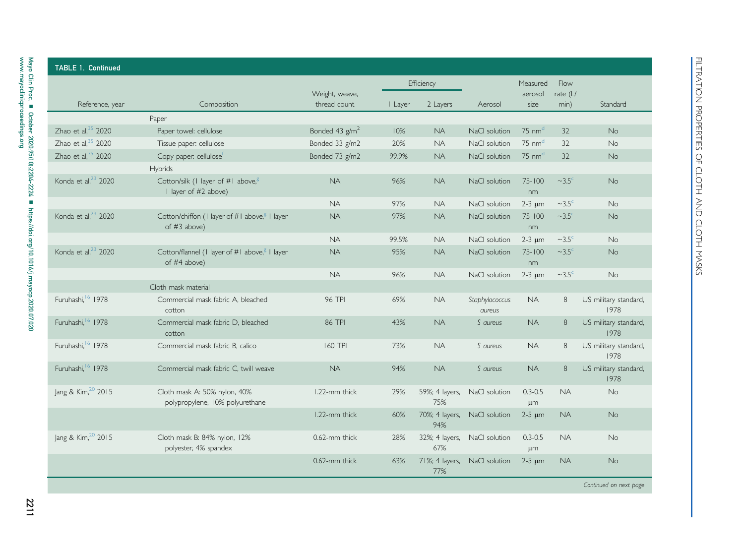|                                 |                                                                           |                                |         | Efficiency            |                              | Measured                   | Flow                     |                               |
|---------------------------------|---------------------------------------------------------------------------|--------------------------------|---------|-----------------------|------------------------------|----------------------------|--------------------------|-------------------------------|
| Reference, year                 | Composition                                                               | Weight, weave,<br>thread count | I Layer | 2 Layers              | Aerosol                      | aerosol<br>size            | rate $(L)$<br>min)       | Standard                      |
|                                 | Paper                                                                     |                                |         |                       |                              |                            |                          |                               |
| Zhao et al, $35$ 2020           | Paper towel: cellulose                                                    | Bonded 43 g/m <sup>2</sup>     | 10%     | <b>NA</b>             | NaCl solution                | $75 \text{ nm}^{\text{d}}$ | 32                       | No                            |
| Zhao et al, $35$ 2020           | Tissue paper: cellulose                                                   | Bonded 33 g/m2                 | 20%     | <b>NA</b>             | NaCl solution                | $75 \text{ nm}^d$          | 32                       | No                            |
| Zhao et al, $35$ 2020           | Copy paper: cellulosef                                                    | Bonded 73 g/m2                 | 99.9%   | <b>NA</b>             | NaCl solution                | $75 \text{ nm}^d$          | 32                       | No                            |
|                                 | Hybrids                                                                   |                                |         |                       |                              |                            |                          |                               |
| Konda et al, <sup>23</sup> 2020 | Cotton/silk (I layer of #I above, <sup>g</sup><br>I layer of #2 above)    | <b>NA</b>                      | 96%     | <b>NA</b>             | NaCl solution                | $75 - 100$<br>nm           | $\sim$ 3.5 $\degree$     | No.                           |
|                                 |                                                                           | <b>NA</b>                      | 97%     | NA.                   | NaCl solution                | $2-3 \mu m$                | $\sim$ 3.5 $\textdegree$ | No.                           |
| Konda et al, <sup>23</sup> 2020 | Cotton/chiffon (I layer of #I above, <sup>8</sup> I layer<br>of #3 above) | <b>NA</b>                      | 97%     | <b>NA</b>             | NaCl solution                | $75 - 100$<br>nm           | $\sim$ 3.5 $\degree$     | <b>No</b>                     |
|                                 |                                                                           | <b>NA</b>                      | 99.5%   | <b>NA</b>             | NaCl solution                | $2-3 \mu m$                | $\sim$ 3.5 $\textdegree$ | No                            |
| Konda et al, <sup>23</sup> 2020 | Cotton/flannel (1 layer of #1 above, <sup>8</sup> I layer<br>of #4 above) | <b>NA</b>                      | 95%     | <b>NA</b>             | NaCl solution                | $75 - 100$<br>nm           | $\sim$ 3.5 $\textdegree$ | No                            |
|                                 |                                                                           | <b>NA</b>                      | 96%     | <b>NA</b>             | NaCl solution                | $2-3 \mu m$                | $\sim$ 3.5 $\degree$     | No                            |
|                                 | Cloth mask material                                                       |                                |         |                       |                              |                            |                          |                               |
| Furuhashi, 6 1978               | Commercial mask fabric A, bleached<br>cotton                              | <b>96 TPI</b>                  | 69%     | <b>NA</b>             | Staphylococcus<br>aureus     | NA.                        | 8                        | US military standard,<br>1978 |
| Furuhashi, 6 1978               | Commercial mask fabric D, bleached<br>cotton                              | 86 TPI                         | 43%     | <b>NA</b>             | S aureus                     | NA.                        | 8                        | US military standard,<br>1978 |
| Furuhashi, <sup>16</sup> 1978   | Commercial mask fabric B. calico                                          | <b>160 TPI</b>                 | 73%     | <b>NA</b>             | S aureus                     | NA.                        | 8                        | US military standard,<br>1978 |
| Furuhashi, <sup>16</sup> 1978   | Commercial mask fabric C. twill weave                                     | <b>NA</b>                      | 94%     | <b>NA</b>             | S aureus                     | <b>NA</b>                  | 8                        | US military standard,<br>1978 |
| Jang & Kim, 20 2015             | Cloth mask A: 50% nylon, 40%<br>polypropylene, 10% polyurethane           | 1.22-mm thick                  | 29%     | 59%; 4 layers,<br>75% | NaCl solution                | $0.3 - 0.5$<br>μm          | <b>NA</b>                | <b>No</b>                     |
|                                 |                                                                           | 1.22-mm thick                  | 60%     | 94%                   | 70%; 4 layers, NaCl solution | $2-5 \mu m$                | <b>NA</b>                | <b>No</b>                     |
| Jang & Kim, 20 2015             | Cloth mask B: 84% nylon, 12%<br>polyester, 4% spandex                     | 0.62-mm thick                  | 28%     | 67%                   | 32%; 4 layers, NaCl solution | $0.3 - 0.5$<br>$\mu$ m     | <b>NA</b>                | <b>No</b>                     |
|                                 |                                                                           | 0.62-mm thick                  | 63%     | 77%                   | 71%; 4 layers, NaCl solution | $2-5 \mu m$                | NA.                      | <b>No</b>                     |

2211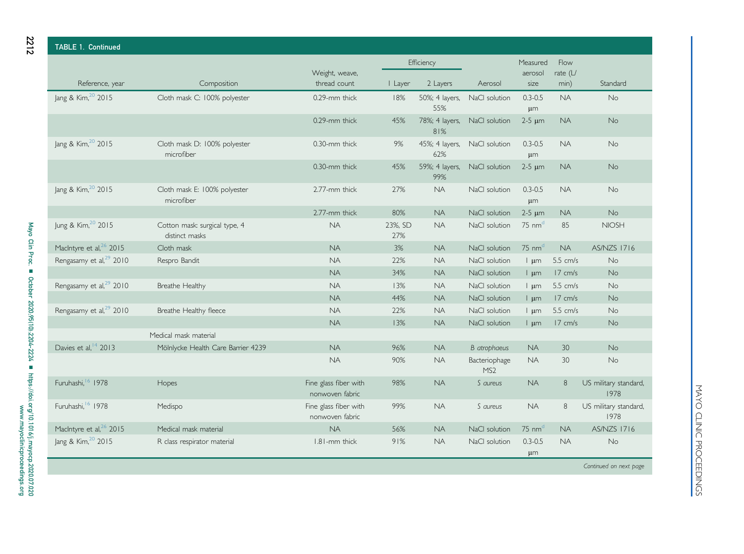| <b>TABLE 1. Continued</b>           |                                                 |                                          |                |                       |                                  |                            |                   |                               |
|-------------------------------------|-------------------------------------------------|------------------------------------------|----------------|-----------------------|----------------------------------|----------------------------|-------------------|-------------------------------|
|                                     |                                                 |                                          |                | Efficiency            |                                  | Measured                   | Flow              |                               |
|                                     |                                                 | Weight, weave,                           |                |                       |                                  | aerosol                    | rate $(L)$        |                               |
| Reference, year                     | Composition                                     | thread count                             | I Layer        | 2 Layers              | Aerosol                          | size                       | min)              | Standard                      |
| Jang & Kim, <sup>20</sup> 2015      | Cloth mask C: 100% polyester                    | 0.29-mm thick                            | 18%            | 50%; 4 layers,<br>55% | NaCl solution                    | $0.3 - 0.5$<br>$\mu$ m     | <b>NA</b>         | No                            |
|                                     |                                                 | 0.29-mm thick                            | 45%            | 78%; 4 layers,<br>81% | NaCl solution                    | $2-5 \mu m$                | <b>NA</b>         | No                            |
| Jang & Kim, <sup>20</sup> 2015      | Cloth mask D: 100% polyester<br>microfiber      | 0.30-mm thick                            | 9%             | 45%; 4 layers,<br>62% | NaCl solution                    | $0.3 - 0.5$<br>$\mu$ m     | <b>NA</b>         | No                            |
|                                     |                                                 | 0.30-mm thick                            | 45%            | 59%; 4 layers,<br>99% | NaCl solution                    | $2-5 \mu m$                | <b>NA</b>         | No                            |
| Jang & Kim, 20 2015                 | Cloth mask E: 100% polyester<br>microfiber      | 2.77-mm thick                            | 27%            | <b>NA</b>             | NaCl solution                    | $0.3 - 0.5$<br>$\mu$ m     | <b>NA</b>         | No                            |
|                                     |                                                 | 2.77-mm thick                            | 80%            | <b>NA</b>             | NaCl solution                    | $2-5 \mu m$                | <b>NA</b>         | <b>No</b>                     |
| Jung & Kim, 20 2015                 | Cotton mask: surgical type, 4<br>distinct masks | <b>NA</b>                                | 23%, SD<br>27% | <b>NA</b>             | NaCl solution                    | $75 \text{ nm}^d$          | 85                | <b>NIOSH</b>                  |
| MacIntyre et al, <sup>26</sup> 2015 | Cloth mask                                      | <b>NA</b>                                | 3%             | <b>NA</b>             | NaCl solution                    | $75 \text{ nm}^{\text{d}}$ | <b>NA</b>         | <b>AS/NZS 1716</b>            |
| Rengasamy et al, <sup>29</sup> 2010 | Respro Bandit                                   | <b>NA</b>                                | 22%            | <b>NA</b>             | NaCl solution                    | $\frac{1}{2}$ um           | 5.5 cm/s          | No                            |
|                                     |                                                 | <b>NA</b>                                | 34%            | <b>NA</b>             | NaCl solution                    | $\frac{1}{2}$ um           | $17 \text{ cm/s}$ | No                            |
| Rengasamy et al, <sup>29</sup> 2010 | Breathe Healthy                                 | <b>NA</b>                                | 13%            | <b>NA</b>             | NaCl solution                    | $\frac{1}{2}$ um           | 5.5 cm/s          | No                            |
|                                     |                                                 | <b>NA</b>                                | 44%            | <b>NA</b>             | NaCl solution                    | $\frac{1}{2}$ um           | 17 cm/s           | No                            |
| Rengasamy et al, <sup>29</sup> 2010 | Breathe Healthy fleece                          | <b>NA</b>                                | 22%            | <b>NA</b>             | NaCl solution                    | $\lfloor \mu m \rfloor$    | 5.5 cm/s          | No                            |
|                                     |                                                 | <b>NA</b>                                | 13%            | <b>NA</b>             | NaCl solution                    | $\frac{1}{2}$ um           | 17 cm/s           | No                            |
|                                     | Medical mask material                           |                                          |                |                       |                                  |                            |                   |                               |
| Davies et al, <sup>14</sup> 2013    | Mölnlycke Health Care Barrier 4239              | <b>NA</b>                                | 96%            | <b>NA</b>             | <b>B</b> atrophaeus              | <b>NA</b>                  | 30                | <b>No</b>                     |
|                                     |                                                 | <b>NA</b>                                | 90%            | <b>NA</b>             | Bacteriophage<br>MS <sub>2</sub> | <b>NA</b>                  | 30                | No                            |
| Furuhashi, <sup>16</sup> 1978       | Hopes                                           | Fine glass fiber with<br>nonwoven fabric | 98%            | <b>NA</b>             | S aureus                         | <b>NA</b>                  | $\,8\,$           | US military standard,<br>1978 |
| Furuhashi, <sup>16</sup> 1978       | Medispo                                         | Fine glass fiber with<br>nonwoven fabric | 99%            | <b>NA</b>             | S aureus                         | <b>NA</b>                  | $\,8\,$           | US military standard,<br>1978 |
| MacIntyre et al, <sup>26</sup> 2015 | Medical mask material                           | <b>NA</b>                                | 56%            | <b>NA</b>             | NaCl solution                    | $75 \text{ nm}^{\text{d}}$ | <b>NA</b>         | <b>AS/NZS 1716</b>            |
| Jang & Kim, <sup>20</sup> 2015      | R class respirator material                     | 1.81-mm thick                            | 91%            | <b>NA</b>             | NaCl solution                    | $0.3 - 0.5$<br>μm          | <b>NA</b>         | No                            |
|                                     |                                                 |                                          |                |                       |                                  |                            |                   | Continued on next page        |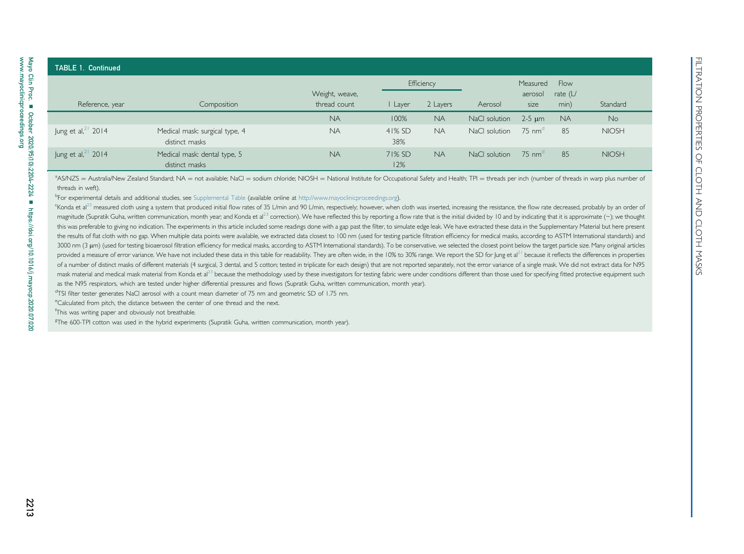### TABLE 1. Continued Reference, year Composition Weight, weave, thread count **Efficiency** AerosolMeasuredaerosolsizeFlowrate (L/ I Layer 2 Layers Aerosol size min) Standard NA 100% NA NaCl solution  $2-5 \text{ um } N_A$  No Jung et  $al<sub>1</sub><sup>21</sup>$  $al<sub>1</sub><sup>21</sup>$  $al<sub>1</sub><sup>21</sup>$  2014 Medical mask: surgical type, 4 distinct masksNA 41% SD38%NA NaCl solution 75 nm<sup>[d](#page-9-3)</sup> 85 NIOSH Jung et al,<sup>[21](#page-19-12)</sup> 2014 Medical mask: dental type, 5 distinct masksNA 71% SD12%NA NaCl solution 75 nm<sup>[d](#page-9-3)</sup> 85 NIOSH **FILTER 1. Continued The Cloth And Comparison Comparison Properties Of Cloth Masks n Cloth And Cloth Masks n October 2020;<br>**  $\frac{1}{2}$  **Ling can all 2021<br>**  $\frac{1}{2}$  **Ling can all 2021<br>**  $\frac{1}{2}$  **Ling can all 2021<br>**  $\frac{1}{2}$

<span id="page-9-2"></span><span id="page-9-1"></span><span id="page-9-0"></span><sup>a</sup>AS/NZS = Australia/New Zealand Standard; NA = not available; NaCl = sodium chloride; NIOSH = National Institute for Occupational Safety and Health; TPI = threads per inch (number of threads in warp plus number of threads in weft).

bFor experimental details and additional studies, see Supplemental Table (available online at <http://www.mayoclinicproceedings.org>).

Konda et al<sup>[23](#page-19-11)</sup> measured cloth using a system that produced initial flow rates of 35 L/min and 90 L/min, respectively; however, when cloth was inserted, increasing the resistance, the flow rate decreased, probably by an or magnitude (Supratik Guha, written communication, month year, and Konda et al<sup>[23](#page-19-11)</sup> correction). We have reflected this by reporting a flow rate that is the initial divided by 10 and by indicating that it is approximate (~); this was preferable to giving no indication. The experiments in this article included some readings done with a gap past the filter, to simulate edge leak. We have extracted these data in the Supplementary Material but her the results of flat cloth with no gap. When multiple data points were available, we extracted data closest to 100 nm (used for testing particle filtration efficiency for medical masks, according to ASTM International stand 3000 nm (3 µm) (used for testing bioaerosol filtration efficiency for medical masks, according to ASTM International standards). To be conservative, we selected the closest point below the target particle size. Many origin provided a measure of error variance. We have not included these data in this table for readability. They are often wide, in the 10% to 30% range. We report the SD for Jung et al<sup>[21](#page-19-12)</sup> because it reflects the differences in of a number of distinct masks of different materials (4 surgical, 3 dental, and 5 cotton; tested in triplicate for each design) that are not reported separately, not the error variance of a single mask. We did not extract mask material and medical mask material from Konda et al<sup>[23](#page-19-11)</sup> because the methodology used by these investigators for testing fabric were under conditions different than those used for specifying fitted protective equipment as the N95 respirators, which are tested under higher differential pressures and flows (Supratik Guha, written communication, month year).

<span id="page-9-6"></span><span id="page-9-5"></span><span id="page-9-4"></span><span id="page-9-3"></span>dTSI filter tester generates NaCl aerosol with <sup>a</sup> count mean diameter of 75 nm and geometric SD of 1.75 nm.

eCalculated from pitch, the distance between the center of one thread and the next.

fThis was writing paper and obviously not breathable.

<sup>g</sup>The 600-TPI cotton was used in the hybrid experiments (Supratik Guha, written communication, month year).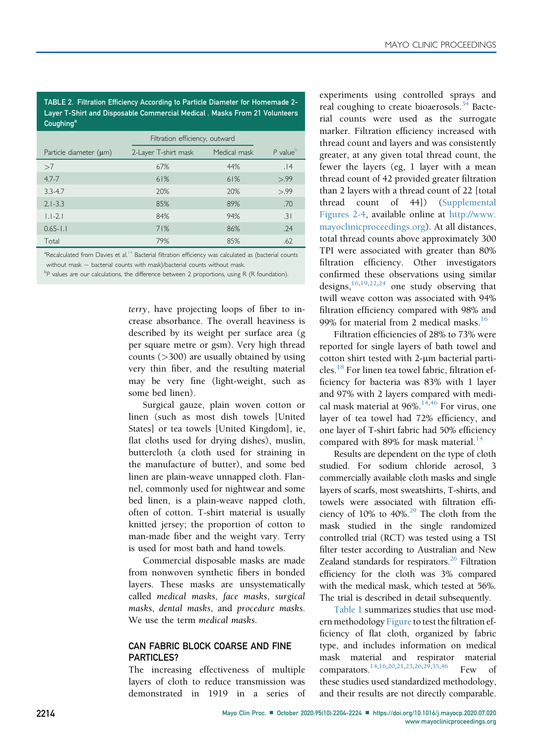<span id="page-10-2"></span>TABLE 2. Filtration Efficiency According to Particle Diameter for Homemade 2- Layer T-Shirt and Disposable Commercial Medical . Masks From 21 Volunteers **Coughing<sup>a</sup>** 

|                             | Filtration efficiency, outward |              |           |
|-----------------------------|--------------------------------|--------------|-----------|
| Particle diameter $(\mu m)$ | 2-Layer T-shirt mask           | Medical mask | $P$ value |
| >7                          | 67%                            | 44%          | .14       |
| $4.7 - 7$                   | 61%                            | 61%          | > 99      |
| $3.3 - 4.7$                 | 20%                            | 20%          | > 99      |
| $2.1 - 3.3$                 | 85%                            | 89%          | .70       |
| $1.1 - 2.1$                 | 84%                            | 94%          | .31       |
| $0.65 - 1.1$                | 71%                            | 86%          | .24       |
| Total                       | 79%                            | 85%          | .62       |

<span id="page-10-0"></span><sup>a</sup>Recalculated from Davies et al.<sup>[14](#page-19-25)</sup> Bacterial filtration efficiency was calculated as (bacterial counts without mask  $-$  bacterial counts with mask)/bacterial counts without mask.

<span id="page-10-1"></span> $P$  values are our calculations, the difference between 2 proportions, using R (R foundation).

terry, have projecting loops of fiber to increase absorbance. The overall heaviness is described by its weight per surface area (g per square metre or gsm). Very high thread counts  $($ >300) are usually obtained by using very thin fiber, and the resulting material may be very fine (light-weight, such as some bed linen).

Surgical gauze, plain woven cotton or linen (such as most dish towels [United States] or tea towels [United Kingdom], ie, flat cloths used for drying dishes), muslin, buttercloth (a cloth used for straining in the manufacture of butter), and some bed linen are plain-weave unnapped cloth. Flannel, commonly used for nightwear and some bed linen, is a plain-weave napped cloth, often of cotton. T-shirt material is usually knitted jersey; the proportion of cotton to man-made fiber and the weight vary. Terry is used for most bath and hand towels.

Commercial disposable masks are made from nonwoven synthetic fibers in bonded layers. These masks are unsystematically called medical masks, face masks, surgical masks, dental masks, and procedure masks. We use the term medical masks.

#### CAN FABRIC BLOCK COARSE AND FINE PARTICLES?

The increasing effectiveness of multiple layers of cloth to reduce transmission was demonstrated in 1919 in a series of experiments using controlled sprays and real coughing to create bioaerosols.<sup>[34](#page-19-19)</sup> Bacterial counts were used as the surrogate marker. Filtration efficiency increased with thread count and layers and was consistently greater, at any given total thread count, the fewer the layers (eg, 1 layer with a mean thread count of 42 provided greater filtration than 2 layers with a thread count of 22 [total thread count of 44]) (Supplemental Figures 2-4, available online at [http://www.](http://www.mayoclinicproceedings.org) [mayoclinicproceedings.org](http://www.mayoclinicproceedings.org)). At all distances, total thread counts above approximately 300 TPI were associated with greater than 80% filtration efficiency. Other investigators confirmed these observations using similar designs,  $16,19,22,24$  $16,19,22,24$  $16,19,22,24$  $16,19,22,24$  one study observing that twill weave cotton was associated with 94% filtration efficiency compared with 98% and 99% for material from 2 medical masks. $16$ 

Filtration efficiencies of 28% to 73% were reported for single layers of bath towel and cotton shirt tested with 2-um bacterial parti-cles.<sup>[18](#page-19-24)</sup> For linen tea towel fabric, filtration efficiency for bacteria was 83% with 1 layer and 97% with 2 layers compared with medical mask material at 96%. $14,46$  $14,46$  For virus, one layer of tea towel had 72% efficiency, and one layer of T-shirt fabric had 50% efficiency compared with 89% for mask material. $14$ 

Results are dependent on the type of cloth studied. For sodium chloride aerosol, 3 commercially available cloth masks and single layers of scarfs, most sweatshirts, T-shirts, and towels were associated with filtration efficiency of  $10\%$  to  $40\%$ .<sup>[29](#page-19-26)</sup> The cloth from the mask studied in the single randomized controlled trial (RCT) was tested using a TSI filter tester according to Australian and New Zealand standards for respirators.<sup>26</sup> Filtration efficiency for the cloth was 3% compared with the medical mask, which tested at 56%. The trial is described in detail subsequently.

[Table 1](#page-4-0) summarizes studies that use modern methodology Figure to test the filtration efficiency of flat cloth, organized by fabric type, and includes information on medical mask material and respirator material comparators.<sup>[14](#page-19-25)[,16](#page-19-20)[,20](#page-19-28)[,21,](#page-19-29)[23](#page-19-9)[,26](#page-19-27)[,29](#page-19-26)[,35,](#page-19-30)[46](#page-20-8)</sup> Few of these studies used standardized methodology, and their results are not directly comparable.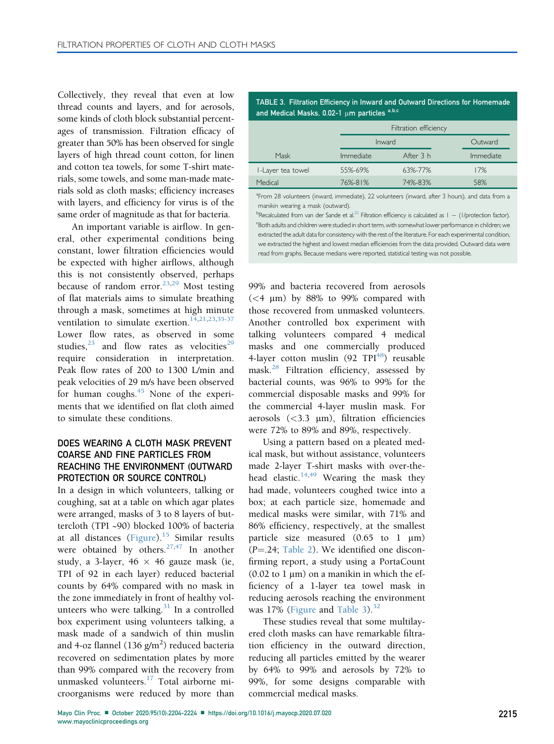Collectively, they reveal that even at low thread counts and layers, and for aerosols, some kinds of cloth block substantial percentages of transmission. Filtration efficacy of greater than 50% has been observed for single layers of high thread count cotton, for linen and cotton tea towels, for some T-shirt materials, some towels, and some man-made materials sold as cloth masks; efficiency increases with layers, and efficiency for virus is of the same order of magnitude as that for bacteria.

An important variable is airflow. In general, other experimental conditions being constant, lower filtration efficiencies would be expected with higher airflows, although this is not consistently observed, perhaps because of random error. $^{23,29}$  $^{23,29}$  $^{23,29}$  $^{23,29}$  Most testing of flat materials aims to simulate breathing through a mask, sometimes at high minute ventilation to simulate exertion.<sup>[14](#page-19-25),[21,](#page-19-29)[23](#page-19-9),[35-37](#page-19-30)</sup> Lower flow rates, as observed in some studies, $^{23}$  $^{23}$  $^{23}$  and flow rates as velocities<sup>[29](#page-19-26)</sup> require consideration in interpretation. Peak flow rates of 200 to 1300 L/min and peak velocities of 29 m/s have been observed for human coughs. $45$  None of the experiments that we identified on flat cloth aimed to simulate these conditions.

## DOES WEARING A CLOTH MASK PREVENT COARSE AND FINE PARTICLES FROM REACHING THE ENVIRONMENT (OUTWARD PROTECTION OR SOURCE CONTROL)

In a design in which volunteers, talking or coughing, sat at a table on which agar plates were arranged, masks of 3 to 8 layers of buttercloth (TPI ~90) blocked 100% of bacteria at all distances [\(Figure](#page-2-0)).<sup>[15](#page-19-31)</sup> Similar results were obtained by others. <sup>[27](#page-19-32)[,47](#page-20-9)</sup> In another study, a 3-layer, 46  $\times$  46 gauze mask (ie, TPI of 92 in each layer) reduced bacterial counts by 64% compared with no mask in the zone immediately in front of healthy volunteers who were talking. $31$  In a controlled box experiment using volunteers talking, a mask made of a sandwich of thin muslin and 4-oz flannel (136 g/m<sup>2</sup>) reduced bacteria recovered on sedimentation plates by more than 99% compared with the recovery from unmasked volunteers.[17](#page-19-34) Total airborne microorganisms were reduced by more than

<span id="page-11-0"></span>TABLE 3. Filtration Efficiency in Inward and Outward Directions for Homemade [a](#page-11-1)nd Medical Masks, 0.02-1  $\mu$ m particles a,[b](#page-11-2)[,c](#page-11-3)

|                   | Filtration efficiency |           |           |  |  |  |
|-------------------|-----------------------|-----------|-----------|--|--|--|
|                   | Inward                |           | Outward   |  |  |  |
| Mask              | <i>Immediate</i>      | After 3 h | Immediate |  |  |  |
| I-Layer tea towel | 55%-69%               | 63%-77%   | 17%       |  |  |  |
| Medical           | 76%-81%               | 74%-83%   | 58%       |  |  |  |

<span id="page-11-1"></span><sup>a</sup> From 28 volunteers (inward, immediate), 22 volunteers (inward, after 3 hours), and data from a manikin wearing a mask (outward).

<span id="page-11-3"></span><span id="page-11-2"></span><sup>b</sup>Recalculated from van der Sande et al.<sup>32</sup> Filtration efficiency is calculated as  $1 - (1/\text{protection factor})$ .<br>SBoth adults and children were studied in short term with somewhat lower performance in children; we Both adults and children were studied in short term, with somewhat lower performance in children; we extracted the adult data for consistency with the rest of the literature. For each experimental condition, we extracted the highest and lowest median efficiencies from the data provided. Outward data were read from graphs. Because medians were reported, statistical testing was not possible.

99% and bacteria recovered from aerosols  $(<4 \mu m)$  by 88% to 99% compared with those recovered from unmasked volunteers. Another controlled box experiment with talking volunteers compared 4 medical masks and one commercially produced 4-layer cotton muslin  $(92 TPI<sup>48</sup>)$  $(92 TPI<sup>48</sup>)$  $(92 TPI<sup>48</sup>)$  reusable mask.[28](#page-19-35) Filtration efficiency, assessed by bacterial counts, was 96% to 99% for the commercial disposable masks and 99% for the commercial 4-layer muslin mask. For aerosols  $(<$ 3.3  $\mu$ m), filtration efficiencies were 72% to 89% and 89%, respectively.

Using a pattern based on a pleated medical mask, but without assistance, volunteers made 2-layer T-shirt masks with over-the-head elastic.<sup>[14](#page-19-25),[49](#page-20-11)</sup> Wearing the mask they had made, volunteers coughed twice into a box; at each particle size, homemade and medical masks were similar, with 71% and 86% efficiency, respectively, at the smallest particle size measured  $(0.65 \text{ to } 1 \text{ }\mu\text{m})$  $(P = .24;$  [Table 2\)](#page-10-2). We identified one disconfirming report, a study using a PortaCount  $(0.02 \text{ to } 1 \text{ }\mu\text{m})$  on a manikin in which the efficiency of a 1-layer tea towel mask in reducing aerosols reaching the environment was 17% [\(Figure](#page-2-0) and [Table 3\)](#page-11-0).<sup>[32](#page-19-36)</sup>

These studies reveal that some multilayered cloth masks can have remarkable filtration efficiency in the outward direction, reducing all particles emitted by the wearer by 64% to 99% and aerosols by 72% to 99%, for some designs comparable with commercial medical masks.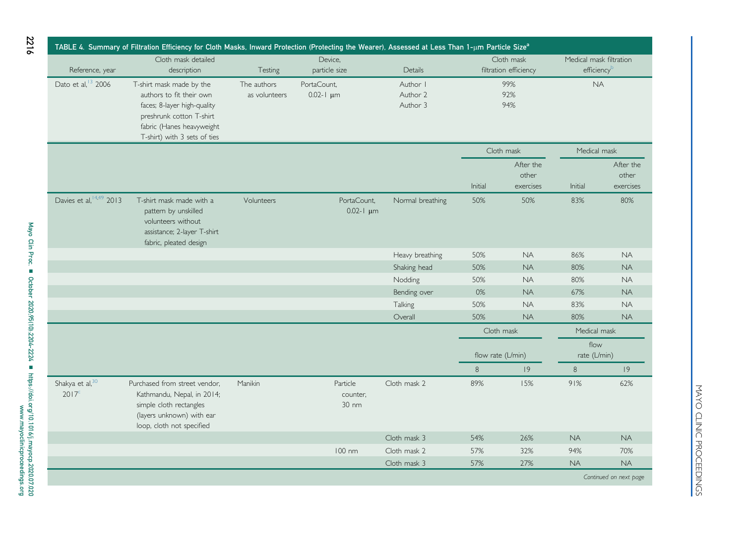<span id="page-12-0"></span>

|                                     | TABLE 4. Summary of Filtration Efficiency for Cloth Masks, Inward Protection (Protecting the Wearer), Assessed at Less Than 1-µm Particle Size <sup>a</sup> |               |                                 |                  |                     |                       |                         |                        |
|-------------------------------------|-------------------------------------------------------------------------------------------------------------------------------------------------------------|---------------|---------------------------------|------------------|---------------------|-----------------------|-------------------------|------------------------|
|                                     | Cloth mask detailed                                                                                                                                         |               | Device.                         |                  |                     | Cloth mask            | Medical mask filtration |                        |
| Reference, year                     | description                                                                                                                                                 | Testing       | particle size                   | Details          |                     | filtration efficiency | efficiencyb             |                        |
| Dato et al, <sup>13</sup> 2006      | T-shirt mask made by the                                                                                                                                    | The authors   | PortaCount.                     | Author I         |                     | 99%                   | <b>NA</b>               |                        |
|                                     | authors to fit their own                                                                                                                                    | as volunteers | $0.02 - 1 \mu m$                | Author 2         |                     | 92%                   |                         |                        |
|                                     | faces; 8-layer high-quality                                                                                                                                 |               |                                 | Author 3         |                     | 94%                   |                         |                        |
|                                     | preshrunk cotton T-shirt                                                                                                                                    |               |                                 |                  |                     |                       |                         |                        |
|                                     | fabric (Hanes heavyweight                                                                                                                                   |               |                                 |                  |                     |                       |                         |                        |
|                                     | T-shirt) with 3 sets of ties                                                                                                                                |               |                                 |                  |                     | Cloth mask            | Medical mask            |                        |
|                                     |                                                                                                                                                             |               |                                 |                  |                     |                       |                         |                        |
|                                     |                                                                                                                                                             |               |                                 |                  |                     | After the<br>other    |                         | After the<br>other     |
|                                     |                                                                                                                                                             |               |                                 |                  | Initial             | exercises             | Initial                 | exercises              |
| Davies et al, <sup>14,49</sup> 2013 |                                                                                                                                                             | Volunteers    |                                 |                  |                     | 50%                   |                         | 80%                    |
|                                     | T-shirt mask made with a<br>pattern by unskilled                                                                                                            |               | PortaCount,<br>$0.02 - 1 \mu m$ | Normal breathing | 50%                 |                       | 83%                     |                        |
|                                     | volunteers without                                                                                                                                          |               |                                 |                  |                     |                       |                         |                        |
|                                     | assistance; 2-layer T-shirt                                                                                                                                 |               |                                 |                  |                     |                       |                         |                        |
|                                     | fabric, pleated design                                                                                                                                      |               |                                 |                  |                     |                       |                         |                        |
|                                     |                                                                                                                                                             |               |                                 | Heavy breathing  | 50%                 | <b>NA</b>             | 86%                     | <b>NA</b>              |
|                                     |                                                                                                                                                             |               |                                 | Shaking head     | 50%                 | <b>NA</b>             | 80%                     | <b>NA</b>              |
|                                     |                                                                                                                                                             |               |                                 | Nodding          | 50%                 | <b>NA</b>             | 80%                     | <b>NA</b>              |
|                                     |                                                                                                                                                             |               |                                 | Bending over     | 0%                  | <b>NA</b>             | 67%                     | <b>NA</b>              |
|                                     |                                                                                                                                                             |               |                                 | Talking          | 50%                 | <b>NA</b>             | 83%                     | <b>NA</b>              |
|                                     |                                                                                                                                                             |               |                                 | Overall          | 50%                 | <b>NA</b>             | 80%                     | <b>NA</b>              |
|                                     |                                                                                                                                                             |               |                                 |                  |                     | Cloth mask            | Medical mask            |                        |
|                                     |                                                                                                                                                             |               |                                 |                  |                     |                       | flow                    |                        |
|                                     |                                                                                                                                                             |               |                                 |                  | flow rate $(L/min)$ |                       | rate (L/min)            |                        |
|                                     |                                                                                                                                                             |               |                                 |                  | 8                   | 9                     | 8                       | 9                      |
| Shakya et al, 30                    | Purchased from street vendor,                                                                                                                               | Manikin       | Particle                        | Cloth mask 2     | 89%                 | 15%                   | 91%                     | 62%                    |
| 2017 <sup>c</sup>                   | Kathmandu, Nepal, in 2014;                                                                                                                                  |               | counter,                        |                  |                     |                       |                         |                        |
|                                     | simple cloth rectangles                                                                                                                                     |               | 30 nm                           |                  |                     |                       |                         |                        |
|                                     | (layers unknown) with ear                                                                                                                                   |               |                                 |                  |                     |                       |                         |                        |
|                                     | loop, cloth not specified                                                                                                                                   |               |                                 |                  |                     |                       |                         |                        |
|                                     |                                                                                                                                                             |               |                                 | Cloth mask 3     | 54%                 | 26%                   | <b>NA</b>               | <b>NA</b>              |
|                                     |                                                                                                                                                             |               | 100 nm                          | Cloth mask 2     | 57%                 | 32%                   | 94%                     | 70%                    |
|                                     |                                                                                                                                                             |               |                                 | Cloth mask 3     | 57%                 | 27%                   | <b>NA</b>               | <b>NA</b>              |
|                                     |                                                                                                                                                             |               |                                 |                  |                     |                       |                         | Continued on next page |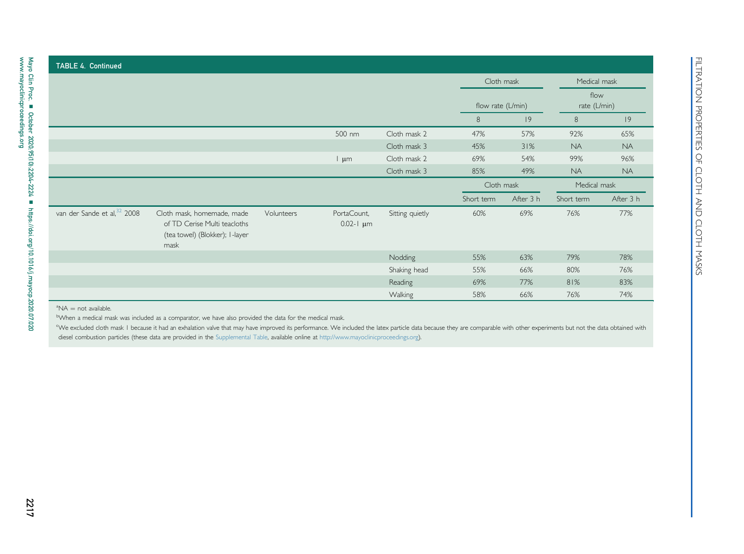|                                                                                                                                                               |                                 |                 |              | Cloth mask<br>flow rate (L/min) |           | Medical mask           |           |
|---------------------------------------------------------------------------------------------------------------------------------------------------------------|---------------------------------|-----------------|--------------|---------------------------------|-----------|------------------------|-----------|
|                                                                                                                                                               |                                 |                 |              |                                 |           | flow<br>rate $(L/min)$ |           |
|                                                                                                                                                               |                                 |                 |              | 8                               | 9         | $\,8\,$                | 9         |
|                                                                                                                                                               |                                 | 500 nm          | Cloth mask 2 | 47%                             | 57%       | 92%                    | 65%       |
|                                                                                                                                                               |                                 |                 | Cloth mask 3 | 45%                             | 31%       | <b>NA</b>              | <b>NA</b> |
|                                                                                                                                                               |                                 | l µm            | Cloth mask 2 | 69%                             | 54%       | 99%                    | 96%       |
|                                                                                                                                                               |                                 |                 | Cloth mask 3 | 85%                             | 49%       | <b>NA</b>              | <b>NA</b> |
|                                                                                                                                                               |                                 |                 |              | Cloth mask                      |           | Medical mask           |           |
|                                                                                                                                                               |                                 |                 |              | Short term                      | After 3 h | Short term             | After 3 h |
| van der Sande et al, <sup>32</sup> 2008<br>Cloth mask, homemade, made<br>Volunteers<br>of TD Cerise Multi teacloths<br>(tea towel) (Blokker); I-layer<br>mask | PortaCount,<br>$0.02 - 1 \mu m$ | Sitting quietly | 60%          | 69%                             | 76%       | 77%                    |           |
|                                                                                                                                                               |                                 |                 | Nodding      | 55%                             | 63%       | 79%                    | 78%       |
|                                                                                                                                                               |                                 |                 | Shaking head | 55%                             | 66%       | 80%                    | 76%       |
|                                                                                                                                                               |                                 |                 | Reading      | 69%                             | 77%       | 81%                    | 83%       |
|                                                                                                                                                               |                                 |                 | Walking      | 58%                             | 66%       | 76%                    | 74%       |

#### <span id="page-13-2"></span><span id="page-13-1"></span><span id="page-13-0"></span> $\mathrm{^{a}NA} = \mathrm{not}$  available.

We excluded cloth mask I because it had an exhalation valve that may have improved its performance. We included the latex particle data because they are comparable with other experiments but not the data obtained with diesel combustion particles (these data are provided in the Supplemental Table, available online at <http://www.mayoclinicproceedings.org>).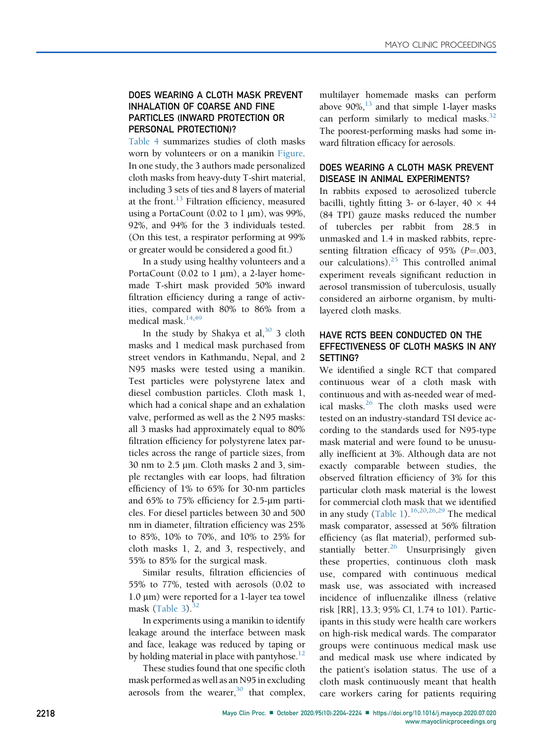#### DOES WEARING A CLOTH MASK PREVENT INHALATION OF COARSE AND FINE PARTICLES (INWARD PROTECTION OR PERSONAL PROTECTION)?

[Table 4](#page-12-0) summarizes studies of cloth masks worn by volunteers or on a manikin Figure. In one study, the 3 authors made personalized cloth masks from heavy-duty T-shirt material, including 3 sets of ties and 8 layers of material at the front. $^{13}$  $^{13}$  $^{13}$  Filtration efficiency, measured using a PortaCount (0.02 to  $1 \mu m$ ), was 99%, 92%, and 94% for the 3 individuals tested. (On this test, a respirator performing at 99% or greater would be considered a good fit.)

In a study using healthy volunteers and a PortaCount (0.02 to 1  $\mu$ m), a 2-layer homemade T-shirt mask provided 50% inward filtration efficiency during a range of activities, compared with 80% to 86% from a medical mask.<sup>[14,](#page-19-25)[49](#page-20-11)</sup>

In the study by Shakya et al,  $30\overline{3}$  $30\overline{3}$  3 cloth masks and 1 medical mask purchased from street vendors in Kathmandu, Nepal, and 2 N95 masks were tested using a manikin. Test particles were polystyrene latex and diesel combustion particles. Cloth mask 1, which had a conical shape and an exhalation valve, performed as well as the 2 N95 masks: all 3 masks had approximately equal to 80% filtration efficiency for polystyrene latex particles across the range of particle sizes, from 30 nm to  $2.5 \mu m$ . Cloth masks 2 and 3, simple rectangles with ear loops, had filtration efficiency of 1% to 65% for 30-nm particles and 65% to 75% efficiency for 2.5-µm particles. For diesel particles between 30 and 500 nm in diameter, filtration efficiency was 25% to 85%, 10% to 70%, and 10% to 25% for cloth masks 1, 2, and 3, respectively, and 55% to 85% for the surgical mask.

Similar results, filtration efficiencies of 55% to 77%, tested with aerosols (0.02 to 1.0 μm) were reported for a 1-layer tea towel mask  $(Table 3).$  $(Table 3).$ <sup>[32](#page-19-36)</sup>

In experiments using a manikin to identify leakage around the interface between mask and face, leakage was reduced by taping or by holding material in place with pantyhose.<sup>12</sup>

These studies found that one specific cloth mask performed as well as an N95 in excluding aerosols from the wearer, $30$  that complex, multilayer homemade masks can perform above  $90\%$ , <sup>13</sup> and that simple 1-layer masks can perform similarly to medical masks. $32$ The poorest-performing masks had some inward filtration efficacy for aerosols.

### DOES WEARING A CLOTH MASK PREVENT DISEASE IN ANIMAL EXPERIMENTS?

In rabbits exposed to aerosolized tubercle bacilli, tightly fitting 3- or 6-layer,  $40 \times 44$ (84 TPI) gauze masks reduced the number of tubercles per rabbit from 28.5 in unmasked and 1.4 in masked rabbits, representing filtration efficacy of  $95\%$  ( $P = .003$ , our calculations).<sup>25</sup> This controlled animal experiment reveals significant reduction in aerosol transmission of tuberculosis, usually considered an airborne organism, by multilayered cloth masks.

## HAVE RCTS BEEN CONDUCTED ON THE EFFECTIVENESS OF CLOTH MASKS IN ANY SETTING?

We identified a single RCT that compared continuous wear of a cloth mask with continuous and with as-needed wear of med-ical masks.<sup>[26](#page-19-27)</sup> The cloth masks used were tested on an industry-standard TSI device according to the standards used for N95-type mask material and were found to be unusually inefficient at 3%. Although data are not exactly comparable between studies, the observed filtration efficiency of 3% for this particular cloth mask material is the lowest for commercial cloth mask that we identified in any study ([Table 1](#page-4-0)).<sup>[16](#page-19-20)[,20,](#page-19-28)[26](#page-19-27)[,29](#page-19-26)</sup> The medical mask comparator, assessed at 56% filtration efficiency (as flat material), performed substantially better. $^{26}$  $^{26}$  $^{26}$  Unsurprisingly given these properties, continuous cloth mask use, compared with continuous medical mask use, was associated with increased incidence of influenzalike illness (relative risk [RR], 13.3; 95% CI, 1.74 to 101). Participants in this study were health care workers on high-risk medical wards. The comparator groups were continuous medical mask use and medical mask use where indicated by the patient's isolation status. The use of a cloth mask continuously meant that health care workers caring for patients requiring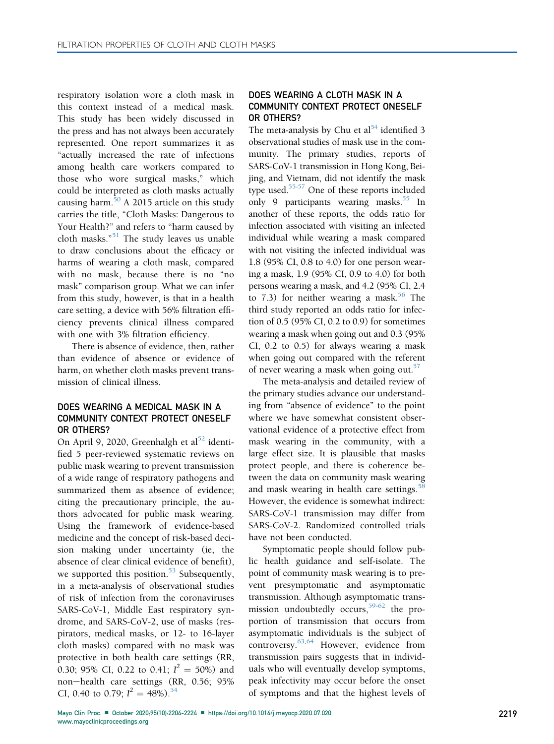respiratory isolation wore a cloth mask in this context instead of a medical mask. This study has been widely discussed in the press and has not always been accurately represented. One report summarizes it as "actually increased the rate of infections among health care workers compared to those who wore surgical masks," which could be interpreted as cloth masks actually causing harm. $50$  A 2015 article on this study carries the title, "Cloth Masks: Dangerous to Your Health?" and refers to "harm caused by cloth masks." [51](#page-20-14) The study leaves us unable to draw conclusions about the efficacy or harms of wearing a cloth mask, compared with no mask, because there is no "no mask" comparison group. What we can infer from this study, however, is that in a health care setting, a device with 56% filtration efficiency prevents clinical illness compared with one with 3% filtration efficiency.

There is absence of evidence, then, rather than evidence of absence or evidence of harm, on whether cloth masks prevent transmission of clinical illness.

#### DOES WEARING A MEDICAL MASK IN A COMMUNITY CONTEXT PROTECT ONESELF OR OTHERS?

On April 9, 2020, Greenhalgh et al<sup>[52](#page-20-15)</sup> identified 5 peer-reviewed systematic reviews on public mask wearing to prevent transmission of a wide range of respiratory pathogens and summarized them as absence of evidence; citing the precautionary principle, the authors advocated for public mask wearing. Using the framework of evidence-based medicine and the concept of risk-based decision making under uncertainty (ie, the absence of clear clinical evidence of benefit), we supported this position. $53$  Subsequently, in a meta-analysis of observational studies of risk of infection from the coronaviruses SARS-CoV-1, Middle East respiratory syndrome, and SARS-CoV-2, use of masks (respirators, medical masks, or 12- to 16-layer cloth masks) compared with no mask was protective in both health care settings (RR, 0.30; 95% CI, 0.22 to 0.41;  $I^2 = 50\%$ ) and non-health care settings (RR, 0.56; 95% CI, 0.40 to 0.79;  $I^2 = 48\%$ ).<sup>[54](#page-20-17)</sup>

## DOES WEARING A CLOTH MASK IN A COMMUNITY CONTEXT PROTECT ONESELF OR OTHERS?

The meta-analysis by Chu et al<sup>54</sup> identified 3 observational studies of mask use in the community. The primary studies, reports of SARS-CoV-1 transmission in Hong Kong, Beijing, and Vietnam, did not identify the mask type used. $55-57$  One of these reports included only 9 participants wearing masks. $55$  In another of these reports, the odds ratio for infection associated with visiting an infected individual while wearing a mask compared with not visiting the infected individual was 1.8 (95% CI, 0.8 to 4.0) for one person wearing a mask, 1.9 (95% CI, 0.9 to 4.0) for both persons wearing a mask, and 4.2 (95% CI, 2.4 to 7.3) for neither wearing a mask.<sup>56</sup> The third study reported an odds ratio for infection of 0.5 (95% CI, 0.2 to 0.9) for sometimes wearing a mask when going out and 0.3 (95% CI, 0.2 to 0.5) for always wearing a mask when going out compared with the referent of never wearing a mask when going out.<sup>[57](#page-20-20)</sup>

The meta-analysis and detailed review of the primary studies advance our understanding from "absence of evidence" to the point where we have somewhat consistent observational evidence of a protective effect from mask wearing in the community, with a large effect size. It is plausible that masks protect people, and there is coherence between the data on community mask wearing and mask wearing in health care settings.<sup>[58](#page-20-21)</sup> However, the evidence is somewhat indirect: SARS-CoV-1 transmission may differ from SARS-CoV-2. Randomized controlled trials have not been conducted.

Symptomatic people should follow public health guidance and self-isolate. The point of community mask wearing is to prevent presymptomatic and asymptomatic transmission. Although asymptomatic transmission undoubtedly occurs,  $59-62$  the proportion of transmission that occurs from asymptomatic individuals is the subject of controversy.[63,](#page-20-23)[64](#page-20-24) However, evidence from transmission pairs suggests that in individuals who will eventually develop symptoms, peak infectivity may occur before the onset of symptoms and that the highest levels of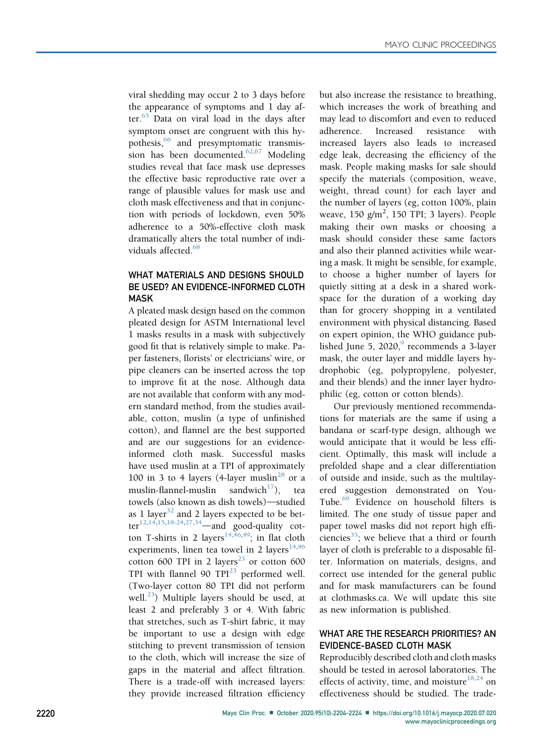viral shedding may occur 2 to 3 days before the appearance of symptoms and 1 day af-ter.<sup>[65](#page-20-25)</sup> Data on viral load in the days after symptom onset are congruent with this hy-pothesis,<sup>[66](#page-20-26)</sup> and presymptomatic transmis-sion has been documented.<sup>[62](#page-20-27),[67](#page-20-28)</sup> Modeling studies reveal that face mask use depresses the effective basic reproductive rate over a range of plausible values for mask use and cloth mask effectiveness and that in conjunction with periods of lockdown, even 50% adherence to a 50%-effective cloth mask dramatically alters the total number of indi-viduals affected.<sup>[68](#page-20-29)</sup>

## WHAT MATERIALS AND DESIGNS SHOULD BE USED? AN EVIDENCE-INFORMED CLOTH MASK

A pleated mask design based on the common pleated design for ASTM International level 1 masks results in a mask with subjectively good fit that is relatively simple to make. Paper fasteners, florists' or electricians' wire, or pipe cleaners can be inserted across the top to improve fit at the nose. Although data are not available that conform with any modern standard method, from the studies available, cotton, muslin (a type of unfinished cotton), and flannel are the best supported and are our suggestions for an evidenceinformed cloth mask. Successful masks have used muslin at a TPI of approximately 100 in 3 to 4 layers (4-layer muslin<sup>[28](#page-19-35)</sup> or a muslin-flannel-muslin sandwich<sup>[17](#page-19-34)</sup>), tea towels (also known as dish towels)-studied as 1 layer<sup>[32](#page-19-36)</sup> and 2 layers expected to be bet-ter<sup>[12](#page-19-42)[,14,](#page-19-25)[15](#page-19-31)[,18-24,](#page-19-24)[27](#page-19-32)[,34](#page-19-19)</sup>—and good-quality cot-ton T-shirts in 2 layers<sup>[14](#page-19-25),[46](#page-20-8)[,49](#page-20-11)</sup>; in flat cloth experiments, linen tea towel in 2 layers $14,46$  $14,46$ cotton 600 TPI in 2 layers<sup>23</sup> or cotton 600 TPI with flannel 90  $TPI<sup>23</sup>$  $TPI<sup>23</sup>$  $TPI<sup>23</sup>$  performed well. (Two-layer cotton 80 TPI did not perform well.<sup>23</sup>) Multiple layers should be used, at least 2 and preferably 3 or 4. With fabric that stretches, such as T-shirt fabric, it may be important to use a design with edge stitching to prevent transmission of tension to the cloth, which will increase the size of gaps in the material and affect filtration. There is a trade-off with increased layers: they provide increased filtration efficiency but also increase the resistance to breathing, which increases the work of breathing and may lead to discomfort and even to reduced adherence. Increased resistance with increased layers also leads to increased edge leak, decreasing the efficiency of the mask. People making masks for sale should specify the materials (composition, weave, weight, thread count) for each layer and the number of layers (eg, cotton 100%, plain weave,  $150$   $g/m^2$ ,  $150$  TPI; 3 layers). People making their own masks or choosing a mask should consider these same factors and also their planned activities while wearing a mask. It might be sensible, for example, to choose a higher number of layers for quietly sitting at a desk in a shared workspace for the duration of a working day than for grocery shopping in a ventilated environment with physical distancing. Based on expert opinion, the WHO guidance published June 5, 2020, $9$  recommends a 3-layer mask, the outer layer and middle layers hydrophobic (eg, polypropylene, polyester, and their blends) and the inner layer hydrophilic (eg, cotton or cotton blends).

Our previously mentioned recommendations for materials are the same if using a bandana or scarf-type design, although we would anticipate that it would be less efficient. Optimally, this mask will include a prefolded shape and a clear differentiation of outside and inside, such as the multilayered suggestion demonstrated on You-Tube.<sup>[69](#page-20-30)</sup> Evidence on household filters is limited. The one study of tissue paper and paper towel masks did not report high effi-ciencies<sup>[35](#page-19-30)</sup>; we believe that a third or fourth layer of cloth is preferable to a disposable filter. Information on materials, designs, and correct use intended for the general public and for mask manufacturers can be found at clothmasks.ca. We will update this site as new information is published.

#### WHAT ARE THE RESEARCH PRIORITIES? AN EVIDENCE-BASED CLOTH MASK

Reproducibly described cloth and cloth masks should be tested in aerosol laboratories. The effects of activity, time, and moisture $^{18,24}$  $^{18,24}$  $^{18,24}$  $^{18,24}$  on effectiveness should be studied. The trade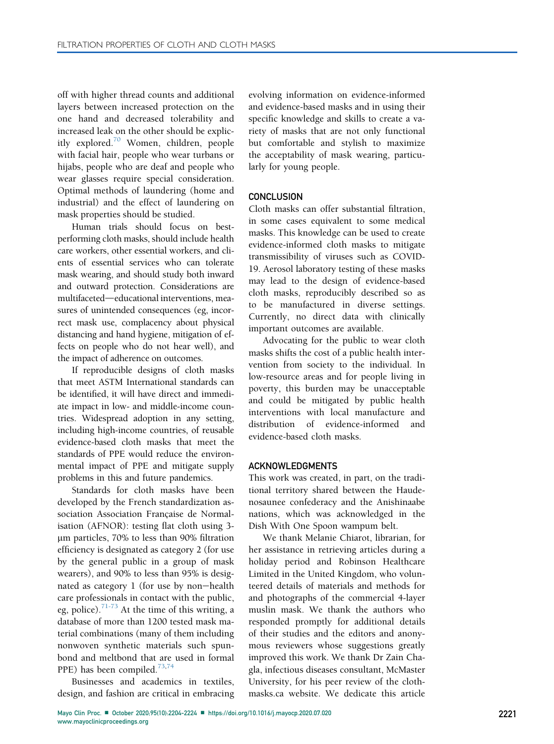off with higher thread counts and additional layers between increased protection on the one hand and decreased tolerability and increased leak on the other should be explicitly explored.[70](#page-20-31) Women, children, people with facial hair, people who wear turbans or hijabs, people who are deaf and people who wear glasses require special consideration. Optimal methods of laundering (home and industrial) and the effect of laundering on mask properties should be studied.

Human trials should focus on bestperforming cloth masks, should include health care workers, other essential workers, and clients of essential services who can tolerate mask wearing, and should study both inward and outward protection. Considerations are multifaceted—educational interventions, measures of unintended consequences (eg, incorrect mask use, complacency about physical distancing and hand hygiene, mitigation of effects on people who do not hear well), and the impact of adherence on outcomes.

If reproducible designs of cloth masks that meet ASTM International standards can be identified, it will have direct and immediate impact in low- and middle-income countries. Widespread adoption in any setting, including high-income countries, of reusable evidence-based cloth masks that meet the standards of PPE would reduce the environmental impact of PPE and mitigate supply problems in this and future pandemics.

Standards for cloth masks have been developed by the French standardization association Association Française de Normalisation (AFNOR): testing flat cloth using 3 mm particles, 70% to less than 90% filtration efficiency is designated as category 2 (for use by the general public in a group of mask wearers), and 90% to less than 95% is designated as category  $1$  (for use by non-health care professionals in contact with the public, eg, police).<sup>[71-73](#page-20-32)</sup> At the time of this writing, a database of more than 1200 tested mask material combinations (many of them including nonwoven synthetic materials such spunbond and meltbond that are used in formal PPE) has been compiled.[73,](#page-20-33)[74](#page-20-34)

Businesses and academics in textiles, design, and fashion are critical in embracing evolving information on evidence-informed and evidence-based masks and in using their specific knowledge and skills to create a variety of masks that are not only functional but comfortable and stylish to maximize the acceptability of mask wearing, particularly for young people.

#### **CONCLUSION**

Cloth masks can offer substantial filtration, in some cases equivalent to some medical masks. This knowledge can be used to create evidence-informed cloth masks to mitigate transmissibility of viruses such as COVID-19. Aerosol laboratory testing of these masks may lead to the design of evidence-based cloth masks, reproducibly described so as to be manufactured in diverse settings. Currently, no direct data with clinically important outcomes are available.

Advocating for the public to wear cloth masks shifts the cost of a public health intervention from society to the individual. In low-resource areas and for people living in poverty, this burden may be unacceptable and could be mitigated by public health interventions with local manufacture and distribution of evidence-informed and evidence-based cloth masks.

#### ACKNOWLEDGMENTS

This work was created, in part, on the traditional territory shared between the Haudenosaunee confederacy and the Anishinaabe nations, which was acknowledged in the Dish With One Spoon wampum belt.

We thank Melanie Chiarot, librarian, for her assistance in retrieving articles during a holiday period and Robinson Healthcare Limited in the United Kingdom, who volunteered details of materials and methods for and photographs of the commercial 4-layer muslin mask. We thank the authors who responded promptly for additional details of their studies and the editors and anonymous reviewers whose suggestions greatly improved this work. We thank Dr Zain Chagla, infectious diseases consultant, McMaster University, for his peer review of the clothmasks.ca website. We dedicate this article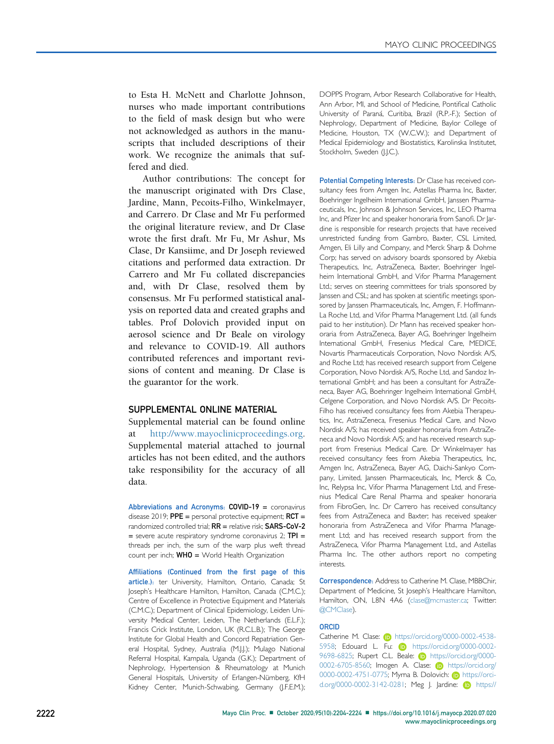to Esta H. McNett and Charlotte Johnson, nurses who made important contributions to the field of mask design but who were not acknowledged as authors in the manuscripts that included descriptions of their work. We recognize the animals that suffered and died.

Author contributions: The concept for the manuscript originated with Drs Clase, Jardine, Mann, Pecoits-Filho, Winkelmayer, and Carrero. Dr Clase and Mr Fu performed the original literature review, and Dr Clase wrote the first draft. Mr Fu, Mr Ashur, Ms Clase, Dr Kansiime, and Dr Joseph reviewed citations and performed data extraction. Dr Carrero and Mr Fu collated discrepancies and, with Dr Clase, resolved them by consensus. Mr Fu performed statistical analysis on reported data and created graphs and tables. Prof Dolovich provided input on aerosol science and Dr Beale on virology and relevance to COVID-19. All authors contributed references and important revisions of content and meaning. Dr Clase is the guarantor for the work.

#### SUPPLEMENTAL ONLINE MATERIAL

Supplemental material can be found online at [http://www.mayoclinicproceedings.org.](http://www.mayoclinicproceedings.org) Supplemental material attached to journal articles has not been edited, and the authors take responsibility for the accuracy of all data.

Abbreviations and Acronyms: COVID-19 = coronavirus disease 2019;  $PPE =$  personal protective equipment;  $RCT =$ randomized controlled trial; RR = relative risk; SARS-CoV-2  $=$  severe acute respiratory syndrome coronavirus 2; TPI  $=$ threads per inch, the sum of the warp plus weft thread count per inch;  $WHO =$  World Health Organization

Affiliations (Continued from the first page of this article.): ter University, Hamilton, Ontario, Canada; St Joseph's Healthcare Hamilton, Hamilton, Canada (C.M.C.); Centre of Excellence in Protective Equipment and Materials (C.M.C.); Department of Clinical Epidemiology, Leiden University Medical Center, Leiden, The Netherlands (E.L.F.); Francis Crick Institute, London, UK (R.C.L.B.); The George Institute for Global Health and Concord Repatriation General Hospital, Sydney, Australia (M.J.J.); Mulago National Referral Hospital, Kampala, Uganda (G.K.); Department of Nephrology, Hypertension & Rheumatology at Munich General Hospitals, University of Erlangen-Nürnberg, KfH Kidney Center, Munich-Schwabing, Germany (J.F.E.M.);

DOPPS Program, Arbor Research Collaborative for Health, Ann Arbor, MI, and School of Medicine, Pontifical Catholic University of Paraná, Curitiba, Brazil (R.P.-F.); Section of Nephrology, Department of Medicine, Baylor College of Medicine, Houston, TX (W.C.W.); and Department of Medical Epidemiology and Biostatistics, Karolinska Institutet, Stockholm, Sweden (I.J.C.).

Potential Competing Interests: Dr Clase has received consultancy fees from Amgen Inc, Astellas Pharma Inc, Baxter, Boehringer Ingelheim International GmbH, Janssen Pharmaceuticals, Inc, Johnson & Johnson Services, Inc, LEO Pharma Inc, and Pfizer Inc and speaker honoraria from Sanofi. Dr Jardine is responsible for research projects that have received unrestricted funding from Gambro, Baxter, CSL Limited, Amgen, Eli Lilly and Company, and Merck Sharp & Dohme Corp; has served on advisory boards sponsored by Akebia Therapeutics, Inc, AstraZeneca, Baxter, Boehringer Ingelheim International GmbH, and Vifor Pharma Management Ltd.; serves on steering committees for trials sponsored by Janssen and CSL; and has spoken at scientific meetings sponsored by Janssen Pharmaceuticals, Inc, Amgen, F. Hoffmann-La Roche Ltd, and Vifor Pharma Management Ltd. (all funds paid to her institution). Dr Mann has received speaker honoraria from AstraZeneca, Bayer AG, Boehringer Ingelheim International GmbH, Fresenius Medical Care, MEDICE, Novartis Pharmaceuticals Corporation, Novo Nordisk A/S, and Roche Ltd; has received research support from Celgene Corporation, Novo Nordisk A/S, Roche Ltd, and Sandoz International GmbH; and has been a consultant for AstraZeneca, Bayer AG, Boehringer Ingelheim International GmbH, Celgene Corporation, and Novo Nordisk A/S. Dr Pecoits-Filho has received consultancy fees from Akebia Therapeutics, Inc, AstraZeneca, Fresenius Medical Care, and Novo Nordisk A/S; has received speaker honoraria from AstraZeneca and Novo Nordisk A/S; and has received research support from Fresenius Medical Care. Dr Winkelmayer has received consultancy fees from Akebia Therapeutics, Inc, Amgen Inc, AstraZeneca, Bayer AG, Daichi-Sankyo Company, Limited, Janssen Pharmaceuticals, Inc, Merck & Co, Inc, Relypsa Inc, Vifor Pharma Management Ltd, and Fresenius Medical Care Renal Pharma and speaker honoraria from FibroGen, Inc. Dr Carrero has received consultancy fees from AstraZeneca and Baxter; has received speaker honoraria from AstraZeneca and Vifor Pharma Management Ltd; and has received research support from the AstraZeneca, Vifor Pharma Management Ltd., and Astellas Pharma Inc. The other authors report no competing interests.

Correspondence: Address to Catherine M. Clase, MBBChir, Department of Medicine, St Joseph's Healthcare Hamilton, Hamilton, ON, L8N 4A6 ([clase@mcmaster.ca;](mailto:clase@mcmaster.ca) Twitter: @CMClase).

#### ORCID

Catherine M. Clase: **iD** [https://orcid.org/0000-0002-4538-](https://orcid.org/0000-0002-4538-5958) [5958; Edouard L. Fu:](https://orcid.org/0000-0002-4538-5958) **iD** [https://orcid.org/0000-0002-](https://orcid.org/0000-0002-9698-6825) [9698-6825; Rupert C.L. Beale:](https://orcid.org/0000-0002-9698-6825) (b) [https://orcid.org/0000-](https://orcid.org/0000-0002-6705-8560) [0002-6705-8560; Imogen A. Clase:](https://orcid.org/0000-0002-6705-8560) (D [https://orcid.org/](https://orcid.org/0000-0002-4751-0775) 0000-0002-4751-0775; Myma B. Dolovich: D[https://orci](https://orcid.org/0000-0002-3142-0281)[d.org/0000-0002-3142-0281; Meg J. Jardine:](https://orcid.org/0000-0002-3142-0281) **iD** [https://](https://orcid.org/0000-0002-0160-2375)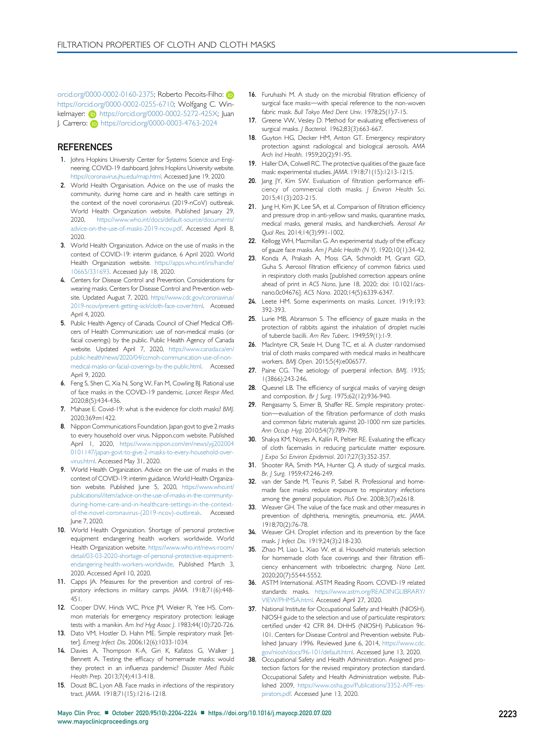<span id="page-19-37"></span><span id="page-19-13"></span>[orcid.org/0000-0002-0160-2375; Roberto Pecoits-Filho:](https://orcid.org/0000-0002-0160-2375) [https://orcid.org/0000-0002-0255-6710; Wolfgang C. Win](https://orcid.org/0000-0002-0255-6710)[kelmayer:](https://orcid.org/0000-0002-0255-6710) (b) [https://orcid.org/0000-0002-5272-425X; Juan](https://orcid.org/0000-0002-5272-425X) [J. Carrero:](https://orcid.org/0000-0002-5272-425X) **<https://orcid.org/0000-0003-4763-2024>** 

#### **REFERENCES**

- <span id="page-19-0"></span>1. Johns Hopkins University Center for Systems Science and Engineering. COVID-19 dashboard. Johns Hopkins University website. [https://coronavirus.jhu.edu/map.html.](https://coronavirus.jhu.edu/map.html) Accessed June 19, 2020.
- <span id="page-19-1"></span>2. World Health Organisation. Advice on the use of masks the community, during home care and in health care settings in the context of the novel coronavirus (2019-nCoV) outbreak. World Health Organization website. Published January 29, 2020, [https://www.who.int/docs/default-source/documents/](https://www.who.int/docs/default-source/documents/advice-on-the-use-of-masks-2019-ncov.pdf) [advice-on-the-use-of-masks-2019-ncov.pdf](https://www.who.int/docs/default-source/documents/advice-on-the-use-of-masks-2019-ncov.pdf). Accessed April 8, 2020.
- <span id="page-19-2"></span>3. World Health Organization. Advice on the use of masks in the context of COVID-19: interim guidance, 6 April 2020. World Health Organization website. [https://apps.who.int/iris/handle/](https://apps.who.int/iris/handle/10665/331693) [10665/331693.](https://apps.who.int/iris/handle/10665/331693) Accessed July 18, 2020.
- <span id="page-19-3"></span>4. Centers for Disease Control and Prevention. Considerations for wearing masks. Centers for Disease Control and Prevention website. Updated August 7, 2020, [https://www.cdc.gov/coronavirus/](https://www.cdc.gov/coronavirus/2019-ncov/prevent-getting-sick/cloth-face-cover.html) [2019-ncov/prevent-getting-sick/cloth-face-cover.html](https://www.cdc.gov/coronavirus/2019-ncov/prevent-getting-sick/cloth-face-cover.html). Accessed April 4, 2020.
- 5. Public Health Agency of Canada. Council of Chief Medical Officers of Health Communication: use of non-medical masks (or facial coverings) by the public. Public Health Agency of Canada website. Updated April 7, 2020, [https://www.canada.ca/en/](https://www.canada.ca/en/public-health/news/2020/04/ccmoh-communication-use-of-non-medical-masks-or-facial-coverings-by-the-public.html) [public-health/news/2020/04/ccmoh-communication-use-of-non](https://www.canada.ca/en/public-health/news/2020/04/ccmoh-communication-use-of-non-medical-masks-or-facial-coverings-by-the-public.html)[medical-masks-or-facial-coverings-by-the-public.html](https://www.canada.ca/en/public-health/news/2020/04/ccmoh-communication-use-of-non-medical-masks-or-facial-coverings-by-the-public.html). Accessed April 9, 2020.
- 6. Feng S, Shen C, Xia N, Song W, Fan M, Cowling BJ. Rational use of face masks in the COVID-19 pandemic. Lancet Respir Med. 2020;8(5):434-436.
- 7. Mahase E. Covid-19: what is the evidence for cloth masks? BMJ. 2020;369:m1422.
- 8. Nippon Communications Foundation. Japan govt to give 2 masks to every household over virus. Nippon.com website. Published April 1, 2020, [https://www.nippon.com/en/news/yjj202004](https://www.nippon.com/en/news/yjj2020040101147/japan-govt-to-give-2-masks-to-every-household-over-virus.html) [0101147/japan-govt-to-give-2-masks-to-every-household-over](https://www.nippon.com/en/news/yjj2020040101147/japan-govt-to-give-2-masks-to-every-household-over-virus.html)[virus.html](https://www.nippon.com/en/news/yjj2020040101147/japan-govt-to-give-2-masks-to-every-household-over-virus.html). Accessed May 31, 2020.
- <span id="page-19-4"></span>9. World Health Organization. Advice on the use of masks in the context of COVID-19: interim guidance. World Health Organization website. Published June 5, 2020, [https://www.who.int/](https://www.who.int/publications/i/item/advice-on-the-use-of-masks-in-the-community-during-home-care-and-in-healthcare-settings-in-the-context-of-the-novel-coronavirus-(2019-ncov)-outbreak) [publications/i/item/advice-on-the-use-of-masks-in-the-community](https://www.who.int/publications/i/item/advice-on-the-use-of-masks-in-the-community-during-home-care-and-in-healthcare-settings-in-the-context-of-the-novel-coronavirus-(2019-ncov)-outbreak)[during-home-care-and-in-healthcare-settings-in-the-context](https://www.who.int/publications/i/item/advice-on-the-use-of-masks-in-the-community-during-home-care-and-in-healthcare-settings-in-the-context-of-the-novel-coronavirus-(2019-ncov)-outbreak)[of-the-novel-coronavirus-\(2019-ncov\)-outbreak](https://www.who.int/publications/i/item/advice-on-the-use-of-masks-in-the-community-during-home-care-and-in-healthcare-settings-in-the-context-of-the-novel-coronavirus-(2019-ncov)-outbreak). Accessed June 7, 2020.
- <span id="page-19-5"></span>10. World Health Organization. Shortage of personal protective equipment endangering health workers worldwide. World Health Organization website. [https://www.who.int/news-room/](https://www.who.int/news-room/detail/03-03-2020-shortage-of-personal-protective-equipment-endangering-health-workers-worldwide) [detail/03-03-2020-shortage-of-personal-protective-equipment](https://www.who.int/news-room/detail/03-03-2020-shortage-of-personal-protective-equipment-endangering-health-workers-worldwide)[endangering-health-workers-worldwide.](https://www.who.int/news-room/detail/03-03-2020-shortage-of-personal-protective-equipment-endangering-health-workers-worldwide) Published March 3, 2020. Accessed April 10, 2020.
- <span id="page-19-6"></span>11. Capps JA. Measures for the prevention and control of respiratory infections in military camps. JAMA. 1918;71(6):448-451.
- <span id="page-19-42"></span>12. Cooper DW, Hinds WC, Price JM, Weker R, Yee HS. Common materials for emergency respiratory protection: leakage tests with a manikin. Am Ind Hyg Assoc J. 1983;44(10):720-726.
- <span id="page-19-40"></span>13. Dato VM, Hostler D, Hahn ME. Simple respiratory mask [letter]. Emerg Infect Dis. 2006;12(6):1033-1034.
- <span id="page-19-25"></span>14. Davies A, Thompson K-A, Giri K, Kafatos G, Walker J, Bennett A. Testing the efficacy of homemade masks: would they protect in an influenza pandemic? Disaster Med Public Health Prep. 2013;7(4):413-418.
- <span id="page-19-31"></span>15. Doust BC, Lyon AB. Face masks in infections of the respiratory tract. JAMA. 1918;71(15):1216-1218.
- <span id="page-19-20"></span>16. Furuhashi M. A study on the microbial filtration efficiency of surgical face masks-with special reference to the non-woven fabric mask. Bull Tokyo Med Dent Univ. 1978;25(1):7-15.
- <span id="page-19-34"></span>17. Greene VW, Vesley D. Method for evaluating effectiveness of surgical masks. J Bacteriol. 1962;83(3):663-667.
- <span id="page-19-24"></span>18. Guyton HG, Decker HM, Anton GT. Emergency respiratory protection against radiological and biological aerosols. AMA .<br>Arch Ind Health. 1959;20(2):91-95.
- <span id="page-19-21"></span>19. Haller DA, Colwell RC. The protective qualities of the gauze face mask: experimental studies. JAMA. 1918;71(15):1213-1215.
- <span id="page-19-28"></span>20. Jang JY, Kim SW. Evaluation of filtration performance efficiency of commercial cloth masks. J Environ Health Sci. 2015;41(3):203-215.
- <span id="page-19-29"></span>21. Jung H, Kim JK, Lee SA, et al. Comparison of filtration efficiency and pressure drop in anti-yellow sand masks, quarantine masks, medical masks, general masks, and handkerchiefs. Aerosol Air Qual Res. 2014;14(3):991-1002.
- <span id="page-19-22"></span>22. Kellogg WH, Macmillan G. An experimental study of the efficacy of gauze face masks. Am J Public Health (N Y). 1920;10(1):34-42.
- <span id="page-19-39"></span><span id="page-19-38"></span><span id="page-19-18"></span><span id="page-19-17"></span><span id="page-19-16"></span><span id="page-19-15"></span><span id="page-19-14"></span><span id="page-19-12"></span><span id="page-19-11"></span><span id="page-19-9"></span>23. Konda A, Prakash A, Moss GA, Schmoldt M, Grant GD, Guha S. Aerosol filtration efficiency of common fabrics used in respiratory cloth masks [published correction appears online ahead of print in ACS Nano, June 18, 2020; doi: 10.1021/acsnano.0c04676]. ACS Nano. 2020;14(5):6339-6347.
- <span id="page-19-23"></span>24. Leete HM. Some experiments on masks. Lancet. 1919;193: 392-393.
- <span id="page-19-43"></span>25. Lurie MB, Abramson S. The efficiency of gauze masks in the protection of rabbits against the inhalation of droplet nuclei of tubercle bacilli. Am Rev Tuberc. 1949;59(1):1-9.
- <span id="page-19-27"></span>26. MacIntyre CR, Seale H, Dung TC, et al. A cluster randomised trial of cloth masks compared with medical masks in healthcare workers. BMJ Open. 2015;5(4):e006577.
- <span id="page-19-32"></span>27. Paine CG. The aetiology of puerperal infection. BMJ. 1935; 1(3866):243-246.
- <span id="page-19-35"></span>28. Quesnel LB. The efficiency of surgical masks of varying design and composition. Br J Surg. 1975;62(12):936-940.
- <span id="page-19-26"></span>29. Rengasamy S, Eimer B, Shaffer RE. Simple respiratory protection-evaluation of the filtration performance of cloth masks and common fabric materials against 20-1000 nm size particles. Ann Occup Hyg. 2010;54(7):789-798.
- <span id="page-19-41"></span>30. Shakya KM, Noyes A, Kallin R, Peltier RE. Evaluating the efficacy of cloth facemasks in reducing particulate matter exposure. J Expo Sci Environ Epidemiol. 2017;27(3):352-357.
- <span id="page-19-33"></span>31. Shooter RA, Smith MA, Hunter CJ. A study of surgical masks. Br, J Surg. 1959;47:246-249.
- <span id="page-19-36"></span>32. van der Sande M, Teunis P, Sabel R. Professional and homemade face masks reduce exposure to respiratory infections among the general population. PloS One. 2008;3(7):e2618.
- 33. Weaver GH. The value of the face mask and other measures in prevention of diphtheria, meningitis, pneumonia, etc. JAMA. 1918;70(2):76-78.
- <span id="page-19-19"></span>34. Weaver GH. Droplet infection and its prevention by the face mask. J Infect Dis. 1919;24(3):218-230.
- <span id="page-19-30"></span>35. Zhao M, Liao L, Xiao W, et al. Household materials selection for homemade cloth face coverings and their filtration efficiency enhancement with triboelectric charging. Nano Lett. 2020;20(7):5544-5552.
- <span id="page-19-7"></span>36. ASTM International. ASTM Reading Room. COVID-19 related standards: masks. [https://www.astm.org/READINGLIBRARY/](https://www.astm.org/READINGLIBRARY/VIEW/PHMSA.html) [VIEW/PHMSA.html](https://www.astm.org/READINGLIBRARY/VIEW/PHMSA.html). Accessed April 27, 2020.
- <span id="page-19-8"></span>37. National Institute for Occupational Safety and Health (NIOSH). NIOSH guide to the selection and use of particulate respirators: certified under 42 CFR 84. DHHS (NIOSH) Publication 96- 101. Centers for Disease Control and Prevention website. Published January 1996. Reviewed June 6, 2014, [https://www.cdc.](https://www.cdc.gov/niosh/docs/96-101/default.html) [gov/niosh/docs/96-101/default.html](https://www.cdc.gov/niosh/docs/96-101/default.html). Accessed June 13, 2020.
- <span id="page-19-10"></span>38. Occupational Safety and Health Administration. Assigned protection factors for the revised respiratory protection standard. Occupational Safety and Health Administration website. Published 2009, [https://www.osha.gov/Publications/3352-APF-res](https://www.osha.gov/Publications/3352-APF-respirators.pdf)[pirators.pdf.](https://www.osha.gov/Publications/3352-APF-respirators.pdf) Accessed June 13, 2020.